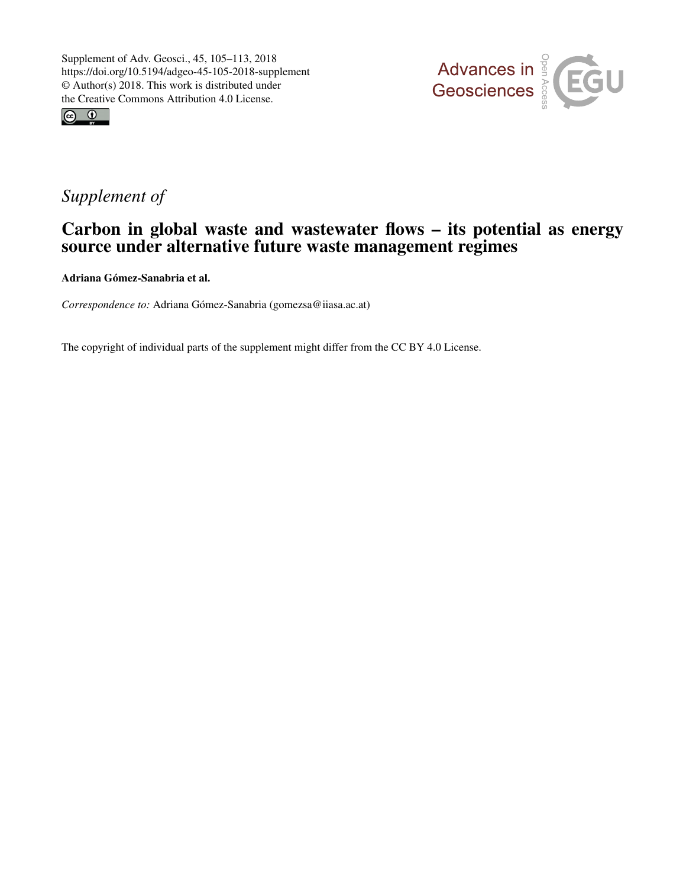



# *Supplement of*

# Carbon in global waste and wastewater flows – its potential as energy source under alternative future waste management regimes

Adriana Gómez-Sanabria et al.

*Correspondence to:* Adriana Gómez-Sanabria (gomezsa@iiasa.ac.at)

The copyright of individual parts of the supplement might differ from the CC BY 4.0 License.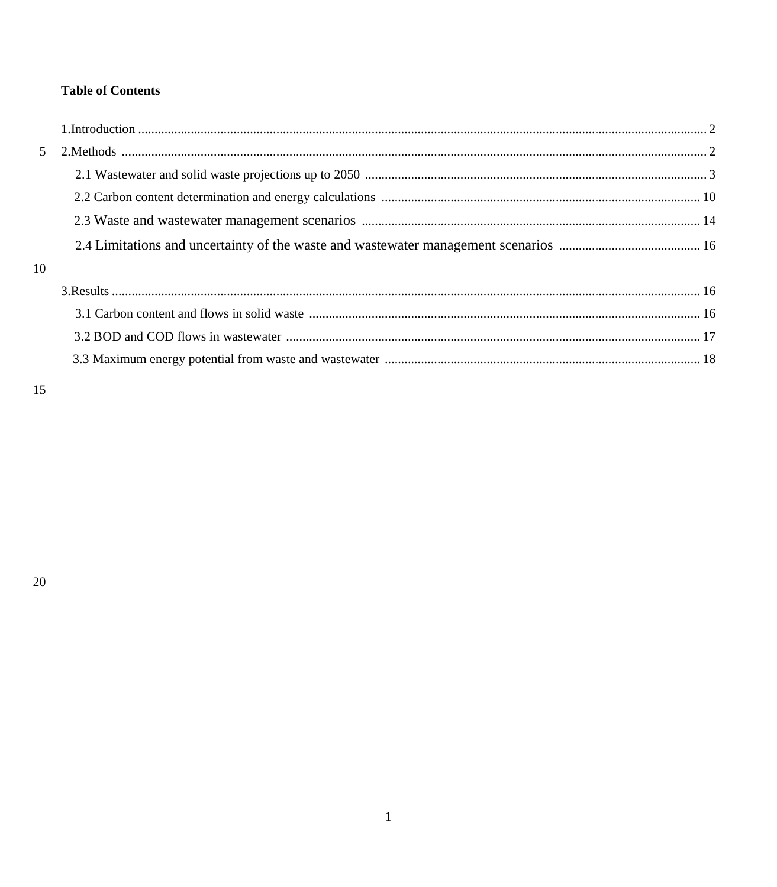# **Table of Contents**

| $\sim$ |  |
|--------|--|
|        |  |
|        |  |
|        |  |
|        |  |
| 10     |  |
|        |  |
|        |  |
|        |  |
|        |  |
|        |  |

15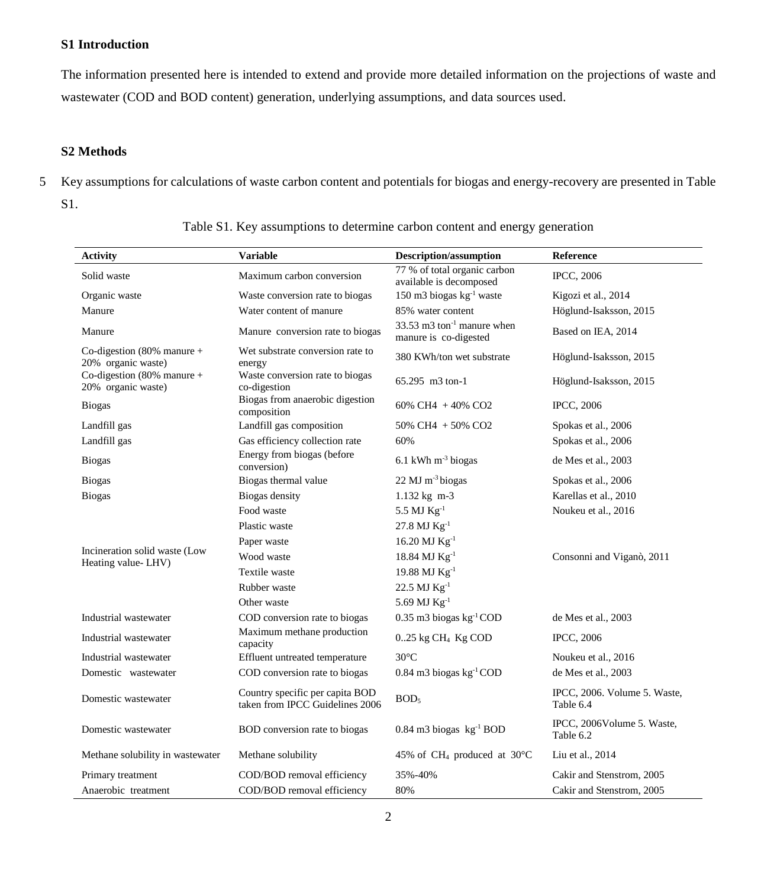## **S1 Introduction**

The information presented here is intended to extend and provide more detailed information on the projections of waste and wastewater (COD and BOD content) generation, underlying assumptions, and data sources used.

## **S2 Methods**

5 Key assumptions for calculations of waste carbon content and potentials for biogas and energy-recovery are presented in Table S1.

| <b>Activity</b>                                     | <b>Variable</b>                                                    | <b>Description/assumption</b>                                              | Reference                                 |
|-----------------------------------------------------|--------------------------------------------------------------------|----------------------------------------------------------------------------|-------------------------------------------|
| Solid waste                                         | Maximum carbon conversion                                          | 77 % of total organic carbon<br>available is decomposed                    | <b>IPCC, 2006</b>                         |
| Organic waste                                       | Waste conversion rate to biogas                                    | 150 m3 biogas kg <sup>-1</sup> waste                                       | Kigozi et al., 2014                       |
| Manure                                              | Water content of manure                                            | 85% water content                                                          | Höglund-Isaksson, 2015                    |
| Manure                                              | Manure conversion rate to biogas                                   | $33.53 \text{ m}$ 3 ton <sup>-1</sup> manure when<br>manure is co-digested | Based on IEA, 2014                        |
| Co-digestion $(80\%$ manure +<br>20% organic waste) | Wet substrate conversion rate to<br>energy                         | 380 KWh/ton wet substrate                                                  | Höglund-Isaksson, 2015                    |
| Co-digestion $(80\%$ manure +<br>20% organic waste) | Waste conversion rate to biogas<br>co-digestion                    | 65.295 m3 ton-1                                                            | Höglund-Isaksson, 2015                    |
| <b>Biogas</b>                                       | Biogas from anaerobic digestion<br>composition                     | 60% CH4 + 40% CO2                                                          | <b>IPCC, 2006</b>                         |
| Landfill gas                                        | Landfill gas composition                                           | 50% CH4 + 50% CO2                                                          | Spokas et al., 2006                       |
| Landfill gas                                        | Gas efficiency collection rate                                     | 60%                                                                        | Spokas et al., 2006                       |
| <b>Biogas</b>                                       | Energy from biogas (before<br>conversion)                          | 6.1 kWh m <sup>-3</sup> biogas                                             | de Mes et al., 2003                       |
| <b>Biogas</b>                                       | Biogas thermal value                                               | $22$ MJ m <sup>-3</sup> biogas                                             | Spokas et al., 2006                       |
| <b>Biogas</b>                                       | Biogas density                                                     | 1.132 kg m-3                                                               | Karellas et al., 2010                     |
|                                                     | Food waste                                                         | 5.5 MJ Kg <sup>-1</sup>                                                    | Noukeu et al., 2016                       |
|                                                     | Plastic waste                                                      | $27.8$ MJ $\text{Kg}^{\text{-}1}$                                          |                                           |
| Incineration solid waste (Low                       | Paper waste                                                        | 16.20 MJ $\text{Kg}^{-1}$                                                  |                                           |
| Heating value-LHV)                                  | Wood waste                                                         | 18.84 MJ Kg <sup>-1</sup>                                                  | Consonni and Viganò, 2011                 |
|                                                     | Textile waste                                                      | $19.88$ MJ Kg <sup>-1</sup>                                                |                                           |
|                                                     | Rubber waste                                                       | $22.5$ MJ $\text{Kg}^{-1}$                                                 |                                           |
|                                                     | Other waste                                                        | 5.69 MJ Kg <sup>-1</sup>                                                   |                                           |
| Industrial wastewater                               | COD conversion rate to biogas                                      | $0.35$ m3 biogas kg <sup>-1</sup> COD                                      | de Mes et al., 2003                       |
| Industrial wastewater                               | Maximum methane production<br>capacity                             | $0.25$ kg CH <sub>4</sub> Kg COD                                           | <b>IPCC, 2006</b>                         |
| Industrial wastewater                               | Effluent untreated temperature                                     | $30^{\circ}$ C                                                             | Noukeu et al., 2016                       |
| Domestic wastewater                                 | COD conversion rate to biogas                                      | $0.84$ m3 biogas kg <sup>-1</sup> COD                                      | de Mes et al., 2003                       |
| Domestic wastewater                                 | Country specific per capita BOD<br>taken from IPCC Guidelines 2006 | BOD <sub>5</sub>                                                           | IPCC, 2006. Volume 5. Waste,<br>Table 6.4 |
| Domestic wastewater                                 | BOD conversion rate to biogas                                      | $0.84$ m3 biogas $kg^{-1}$ BOD                                             | IPCC, 2006Volume 5. Waste,<br>Table 6.2   |
| Methane solubility in wastewater                    | Methane solubility                                                 | 45% of CH <sub>4</sub> produced at $30^{\circ}$ C                          | Liu et al., 2014                          |
| Primary treatment                                   | COD/BOD removal efficiency                                         | 35%-40%                                                                    | Cakir and Stenstrom, 2005                 |
| Anaerobic treatment                                 | COD/BOD removal efficiency                                         | 80%                                                                        | Cakir and Stenstrom, 2005                 |

Table S1. Key assumptions to determine carbon content and energy generation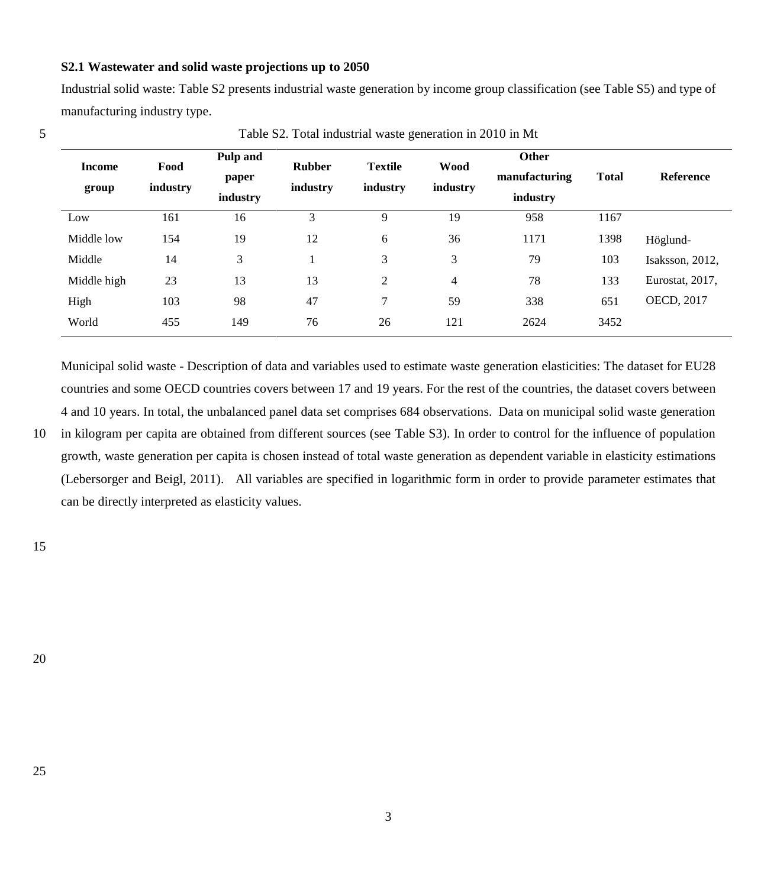## **S2.1 Wastewater and solid waste projections up to 2050**

Industrial solid waste: Table S2 presents industrial waste generation by income group classification (see Table S5) and type of manufacturing industry type.

| <b>Income</b><br>group | Food<br>industry | Pulp and<br>paper<br>industry | <b>Rubber</b><br>industry | <b>Textile</b><br>industry | <b>Wood</b><br>industry | <b>Other</b><br>manufacturing<br>industry | <b>Total</b> | <b>Reference</b>  |
|------------------------|------------------|-------------------------------|---------------------------|----------------------------|-------------------------|-------------------------------------------|--------------|-------------------|
| Low                    | 161              | 16                            | 3                         | 9                          | 19                      | 958                                       | 1167         |                   |
| Middle low             | 154              | 19                            | 12                        | 6                          | 36                      | 1171                                      | 1398         | Höglund-          |
| Middle                 | 14               | 3                             |                           | 3                          | 3                       | 79                                        | 103          | Isaksson, 2012.   |
| Middle high            | 23               | 13                            | 13                        | 2                          | $\overline{4}$          | 78                                        | 133          | Eurostat, 2017,   |
| High                   | 103              | 98                            | 47                        | 7                          | 59                      | 338                                       | 651          | <b>OECD, 2017</b> |
| World                  | 455              | 149                           | 76                        | 26                         | 121                     | 2624                                      | 3452         |                   |

5 Table S2. Total industrial waste generation in 2010 in Mt

Municipal solid waste - Description of data and variables used to estimate waste generation elasticities: The dataset for EU28 countries and some OECD countries covers between 17 and 19 years. For the rest of the countries, the dataset covers between 4 and 10 years. In total, the unbalanced panel data set comprises 684 observations. Data on municipal solid waste generation

10 in kilogram per capita are obtained from different sources (see [Table S3](#page-4-0)). In order to control for the influence of population growth, waste generation per capita is chosen instead of total waste generation as dependent variable in elasticity estimations (Lebersorger and Beigl, 2011). All variables are specified in logarithmic form in order to provide parameter estimates that can be directly interpreted as elasticity values.

15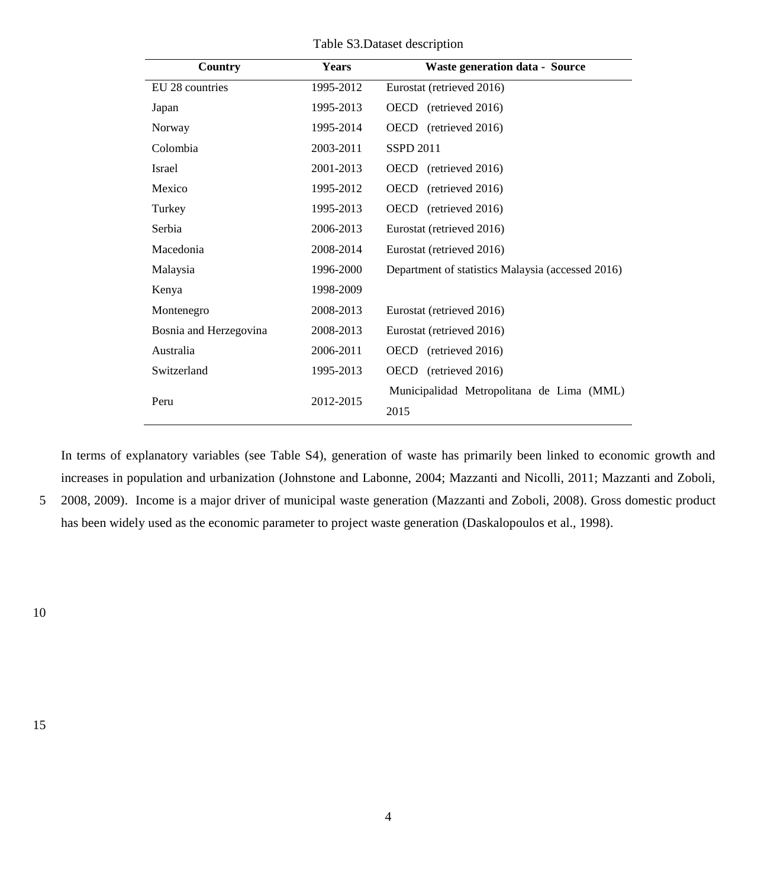Table S3.Dataset description

<span id="page-4-0"></span>

| Country                | <b>Years</b> | <b>Waste generation data - Source</b>             |
|------------------------|--------------|---------------------------------------------------|
| EU 28 countries        | 1995-2012    | Eurostat (retrieved 2016)                         |
| Japan                  | 1995-2013    | OECD (retrieved 2016)                             |
| Norway                 | 1995-2014    | OECD (retrieved 2016)                             |
| Colombia               | 2003-2011    | <b>SSPD 2011</b>                                  |
| Israel                 | 2001-2013    | OECD (retrieved 2016)                             |
| Mexico                 | 1995-2012    | OECD<br>(retrieved 2016)                          |
| Turkey                 | 1995-2013    | OECD<br>(retrieved 2016)                          |
| Serbia                 | 2006-2013    | Eurostat (retrieved 2016)                         |
| Macedonia              | 2008-2014    | Eurostat (retrieved 2016)                         |
| Malaysia               | 1996-2000    | Department of statistics Malaysia (accessed 2016) |
| Kenya                  | 1998-2009    |                                                   |
| Montenegro             | 2008-2013    | Eurostat (retrieved 2016)                         |
| Bosnia and Herzegovina | 2008-2013    | Eurostat (retrieved 2016)                         |
| Australia              | 2006-2011    | OECD (retrieved 2016)                             |
| Switzerland            | 1995-2013    | OECD (retrieved 2016)                             |
| Peru                   | 2012-2015    | Municipalidad Metropolitana de Lima (MML)<br>2015 |

In terms of explanatory variables (see Table S4), generation of waste has primarily been linked to economic growth and increases in population and urbanization (Johnstone and Labonne, 2004; Mazzanti and Nicolli, 2011; Mazzanti and Zoboli,

5 2008, 2009). Income is a major driver of municipal waste generation (Mazzanti and Zoboli, 2008). Gross domestic product has been widely used as the economic parameter to project waste generation (Daskalopoulos et al., 1998).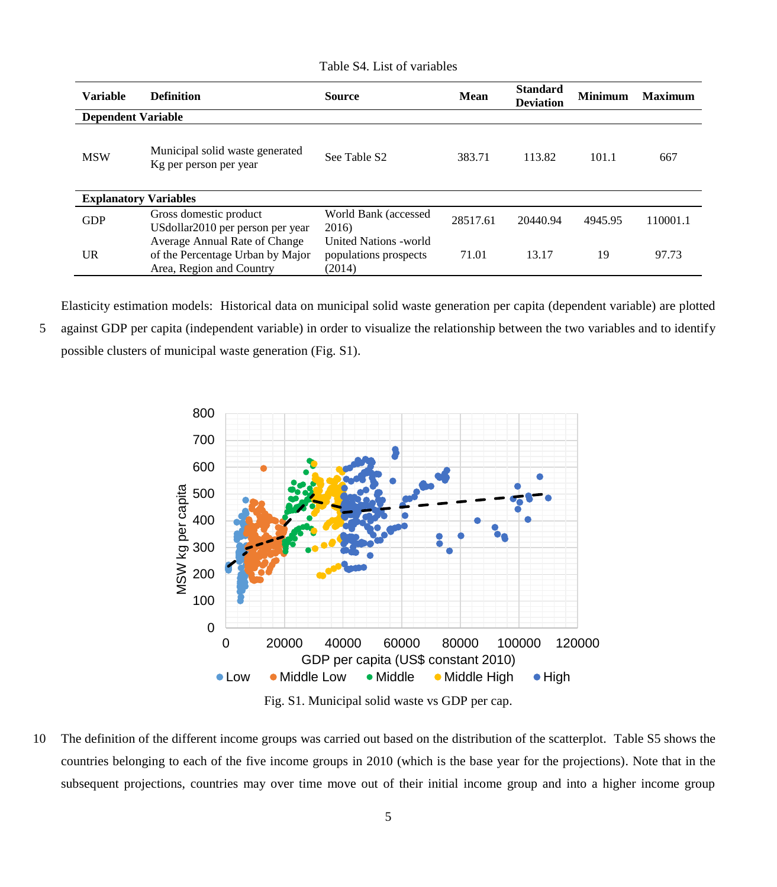Table S4. List of variables

| <b>Variable</b>              | <b>Definition</b>                                                                             | <b>Source</b>                                             | Mean     | <b>Standard</b><br><b>Deviation</b> | <b>Minimum</b> | <b>Maximum</b> |
|------------------------------|-----------------------------------------------------------------------------------------------|-----------------------------------------------------------|----------|-------------------------------------|----------------|----------------|
| <b>Dependent Variable</b>    |                                                                                               |                                                           |          |                                     |                |                |
| <b>MSW</b>                   | Municipal solid waste generated<br>Kg per person per year                                     | See Table S <sub>2</sub>                                  | 383.71   | 113.82                              | 101.1          | 667            |
| <b>Explanatory Variables</b> |                                                                                               |                                                           |          |                                     |                |                |
| <b>GDP</b>                   | Gross domestic product<br>USdollar2010 per person per year                                    | World Bank (accessed<br>2016)                             | 28517.61 | 20440.94                            | 4945.95        | 110001.1       |
| UR                           | Average Annual Rate of Change<br>of the Percentage Urban by Major<br>Area, Region and Country | United Nations - world<br>populations prospects<br>(2014) | 71.01    | 13.17                               | 19             | 97.73          |

Elasticity estimation models: Historical data on municipal solid waste generation per capita (dependent variable) are plotted 5 against GDP per capita (independent variable) in order to visualize the relationship between the two variables and to identify possible clusters of municipal waste generation [\(Fig. S1\)](#page-5-0).



Fig. S1. Municipal solid waste vs GDP per cap.

<span id="page-5-0"></span>10 The definition of the different income groups was carried out based on the distribution of the scatterplot. Table S5 shows the countries belonging to each of the five income groups in 2010 (which is the base year for the projections). Note that in the subsequent projections, countries may over time move out of their initial income group and into a higher income group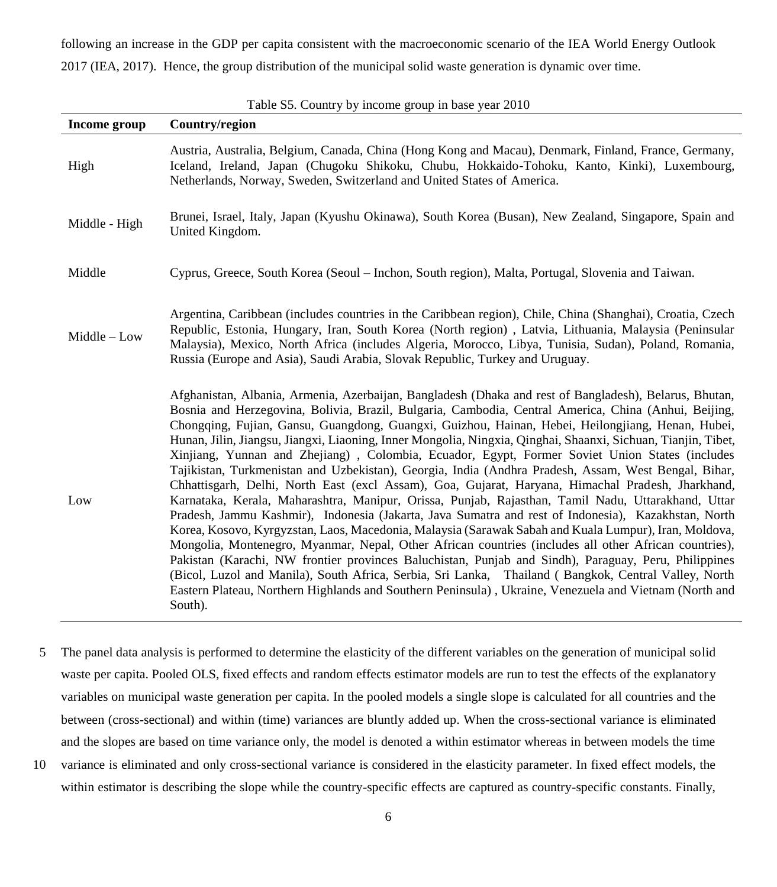following an increase in the GDP per capita consistent with the macroeconomic scenario of the IEA World Energy Outlook 2017 (IEA, 2017). Hence, the group distribution of the municipal solid waste generation is dynamic over time.

| Income group  | Country/region                                                                                                                                                                                                                                                                                                                                                                                                                                                                                                                                                                                                                                                                                                                                                                                                                                                                                                                                                                                                                                                                                                                                                                                                                                                                                                                                                                                                                                                                                                          |
|---------------|-------------------------------------------------------------------------------------------------------------------------------------------------------------------------------------------------------------------------------------------------------------------------------------------------------------------------------------------------------------------------------------------------------------------------------------------------------------------------------------------------------------------------------------------------------------------------------------------------------------------------------------------------------------------------------------------------------------------------------------------------------------------------------------------------------------------------------------------------------------------------------------------------------------------------------------------------------------------------------------------------------------------------------------------------------------------------------------------------------------------------------------------------------------------------------------------------------------------------------------------------------------------------------------------------------------------------------------------------------------------------------------------------------------------------------------------------------------------------------------------------------------------------|
| High          | Austria, Australia, Belgium, Canada, China (Hong Kong and Macau), Denmark, Finland, France, Germany,<br>Iceland, Ireland, Japan (Chugoku Shikoku, Chubu, Hokkaido-Tohoku, Kanto, Kinki), Luxembourg,<br>Netherlands, Norway, Sweden, Switzerland and United States of America.                                                                                                                                                                                                                                                                                                                                                                                                                                                                                                                                                                                                                                                                                                                                                                                                                                                                                                                                                                                                                                                                                                                                                                                                                                          |
| Middle - High | Brunei, Israel, Italy, Japan (Kyushu Okinawa), South Korea (Busan), New Zealand, Singapore, Spain and<br>United Kingdom.                                                                                                                                                                                                                                                                                                                                                                                                                                                                                                                                                                                                                                                                                                                                                                                                                                                                                                                                                                                                                                                                                                                                                                                                                                                                                                                                                                                                |
| Middle        | Cyprus, Greece, South Korea (Seoul – Inchon, South region), Malta, Portugal, Slovenia and Taiwan.                                                                                                                                                                                                                                                                                                                                                                                                                                                                                                                                                                                                                                                                                                                                                                                                                                                                                                                                                                                                                                                                                                                                                                                                                                                                                                                                                                                                                       |
| Middle - Low  | Argentina, Caribbean (includes countries in the Caribbean region), Chile, China (Shanghai), Croatia, Czech<br>Republic, Estonia, Hungary, Iran, South Korea (North region), Latvia, Lithuania, Malaysia (Peninsular<br>Malaysia), Mexico, North Africa (includes Algeria, Morocco, Libya, Tunisia, Sudan), Poland, Romania,<br>Russia (Europe and Asia), Saudi Arabia, Slovak Republic, Turkey and Uruguay.                                                                                                                                                                                                                                                                                                                                                                                                                                                                                                                                                                                                                                                                                                                                                                                                                                                                                                                                                                                                                                                                                                             |
| Low           | Afghanistan, Albania, Armenia, Azerbaijan, Bangladesh (Dhaka and rest of Bangladesh), Belarus, Bhutan,<br>Bosnia and Herzegovina, Bolivia, Brazil, Bulgaria, Cambodia, Central America, China (Anhui, Beijing,<br>Chongqing, Fujian, Gansu, Guangdong, Guangxi, Guizhou, Hainan, Hebei, Heilongjiang, Henan, Hubei,<br>Hunan, Jilin, Jiangsu, Jiangxi, Liaoning, Inner Mongolia, Ningxia, Qinghai, Shaanxi, Sichuan, Tianjin, Tibet,<br>Xinjiang, Yunnan and Zhejiang), Colombia, Ecuador, Egypt, Former Soviet Union States (includes<br>Tajikistan, Turkmenistan and Uzbekistan), Georgia, India (Andhra Pradesh, Assam, West Bengal, Bihar,<br>Chhattisgarh, Delhi, North East (excl Assam), Goa, Gujarat, Haryana, Himachal Pradesh, Jharkhand,<br>Karnataka, Kerala, Maharashtra, Manipur, Orissa, Punjab, Rajasthan, Tamil Nadu, Uttarakhand, Uttar<br>Pradesh, Jammu Kashmir), Indonesia (Jakarta, Java Sumatra and rest of Indonesia), Kazakhstan, North<br>Korea, Kosovo, Kyrgyzstan, Laos, Macedonia, Malaysia (Sarawak Sabah and Kuala Lumpur), Iran, Moldova,<br>Mongolia, Montenegro, Myanmar, Nepal, Other African countries (includes all other African countries),<br>Pakistan (Karachi, NW frontier provinces Baluchistan, Punjab and Sindh), Paraguay, Peru, Philippines<br>(Bicol, Luzol and Manila), South Africa, Serbia, Sri Lanka, Thailand (Bangkok, Central Valley, North<br>Eastern Plateau, Northern Highlands and Southern Peninsula), Ukraine, Venezuela and Vietnam (North and<br>South). |

Table S5. Country by income group in base year 2010

- 5 The panel data analysis is performed to determine the elasticity of the different variables on the generation of municipal solid waste per capita. Pooled OLS, fixed effects and random effects estimator models are run to test the effects of the explanatory variables on municipal waste generation per capita. In the pooled models a single slope is calculated for all countries and the between (cross-sectional) and within (time) variances are bluntly added up. When the cross-sectional variance is eliminated and the slopes are based on time variance only, the model is denoted a within estimator whereas in between models the time 10 variance is eliminated and only cross-sectional variance is considered in the elasticity parameter. In fixed effect models, the
	- within estimator is describing the slope while the country-specific effects are captured as country-specific constants. Finally,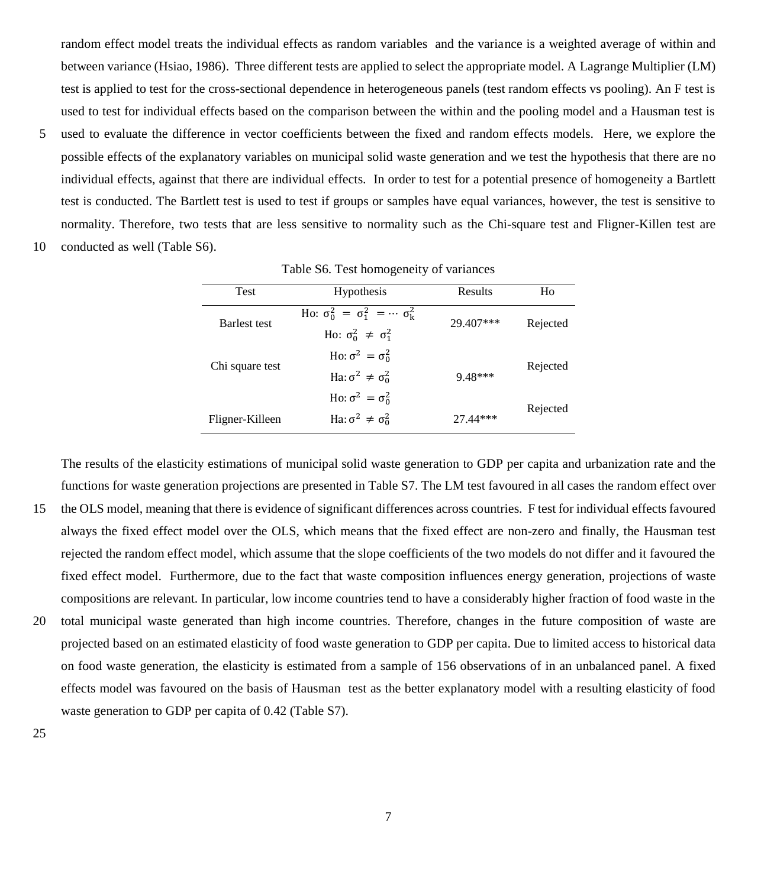random effect model treats the individual effects as random variables and the variance is a weighted average of within and between variance (Hsiao, 1986). Three different tests are applied to select the appropriate model. A Lagrange Multiplier (LM) test is applied to test for the cross-sectional dependence in heterogeneous panels (test random effects vs pooling). An F test is used to test for individual effects based on the comparison between the within and the pooling model and a Hausman test is

- 5 used to evaluate the difference in vector coefficients between the fixed and random effects models. Here, we explore the possible effects of the explanatory variables on municipal solid waste generation and we test the hypothesis that there are no individual effects, against that there are individual effects. In order to test for a potential presence of homogeneity a Bartlett test is conducted. The Bartlett test is used to test if groups or samples have equal variances, however, the test is sensitive to normality. Therefore, two tests that are less sensitive to normality such as the Chi-square test and Fligner-Killen test are
- 10 conducted as well (Table S6).

| <b>Test</b>         | Hypothesis                                          | Results    | Ho       |
|---------------------|-----------------------------------------------------|------------|----------|
| <b>Barlest</b> test | Ho: $\sigma_0^2 = \sigma_1^2 = \cdots = \sigma_k^2$ | 29.407***  | Rejected |
|                     | Ho: $\sigma_0^2 \neq \sigma_1^2$                    |            |          |
|                     | Ho: $\sigma^2 = \sigma_0^2$                         |            |          |
| Chi square test     | Ha: $\sigma^2 \neq \sigma_0^2$                      | $9.48***$  | Rejected |
|                     | Ho: $\sigma^2 = \sigma_0^2$                         |            |          |
| Fligner-Killeen     | Ha: $\sigma^2 \neq \sigma_0^2$                      | $27.44***$ | Rejected |

Table S6. Test homogeneity of variances

The results of the elasticity estimations of municipal solid waste generation to GDP per capita and urbanization rate and the functions for waste generation projections are presented in [Table S7.](#page-8-0) The LM test favoured in all cases the random effect over

- 15 the OLS model, meaning that there is evidence of significant differences across countries. F test for individual effects favoured always the fixed effect model over the OLS, which means that the fixed effect are non-zero and finally, the Hausman test rejected the random effect model, which assume that the slope coefficients of the two models do not differ and it favoured the fixed effect model. Furthermore, due to the fact that waste composition influences energy generation, projections of waste compositions are relevant. In particular, low income countries tend to have a considerably higher fraction of food waste in the
- 20 total municipal waste generated than high income countries. Therefore, changes in the future composition of waste are projected based on an estimated elasticity of food waste generation to GDP per capita. Due to limited access to historical data on food waste generation, the elasticity is estimated from a sample of 156 observations of in an unbalanced panel. A fixed effects model was favoured on the basis of Hausman test as the better explanatory model with a resulting elasticity of food waste generation to GDP per capita of 0.42 (Table S7).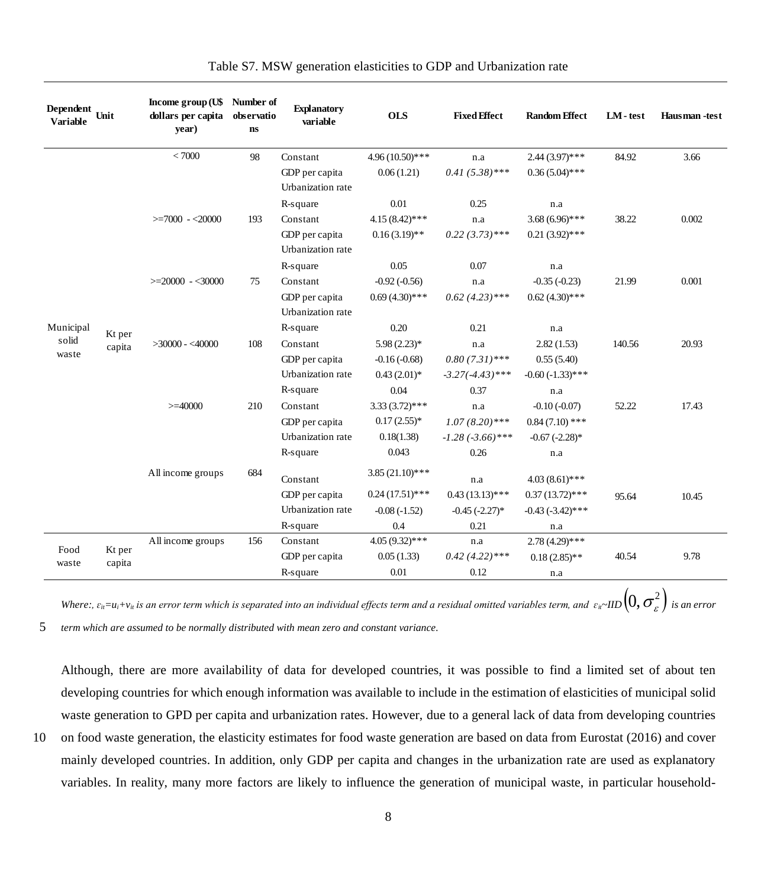<span id="page-8-0"></span>

| <b>Dependent</b><br><b>Variable</b> | Unit   | Income group (U\$ Number of<br>dollars per capita<br>year) | observatio<br>$\mathbf{ns}$ | <b>Explanatory</b><br>variable      | <b>OLS</b>        | <b>Fixed Effect</b>   | <b>Random Effect</b>  | $LM - test$ | Hausman-test |
|-------------------------------------|--------|------------------------------------------------------------|-----------------------------|-------------------------------------|-------------------|-----------------------|-----------------------|-------------|--------------|
|                                     |        | < 7000                                                     | 98                          | Constant                            | 4.96 (10.50)***   | n.a                   | $2.44(3.97)$ ***      | 84.92       | 3.66         |
|                                     |        |                                                            |                             | GDP per capita<br>Urbanization rate | 0.06(1.21)        | $0.41(5.38)$ ***      | $0.36(5.04)$ ***      |             |              |
|                                     |        |                                                            |                             | R-square                            | 0.01              | 0.25                  | n.a                   |             |              |
|                                     |        | $>=7000 - 20000$                                           | 193                         | Constant                            | $4.15(8.42)$ ***  | n.a                   | $3.68(6.96)$ ***      | 38.22       | 0.002        |
|                                     |        |                                                            |                             | GDP per capita<br>Urbanization rate | $0.16(3.19)$ **   | $0.22(3.73)$ ***      | $0.21(3.92)$ ***      |             |              |
|                                     |        |                                                            |                             | R-square                            | 0.05              | 0.07                  | n.a                   |             |              |
|                                     |        | $>=20000 - 30000$                                          | 75                          | Constant                            | $-0.92(-0.56)$    | n.a                   | $-0.35(-0.23)$        | 21.99       | 0.001        |
|                                     |        |                                                            |                             | GDP per capita<br>Urbanization rate | $0.69(4.30)$ ***  | $0.62(4.23)$ ***      | $0.62(4.30)$ ***      |             |              |
| Municipal                           | Kt per |                                                            |                             | R-square                            | 0.20              | 0.21                  | n.a                   |             |              |
| solid                               | capita | $>30000 - 40000$                                           | 108                         | Constant                            | $5.98(2.23)*$     | n.a                   | 2.82(1.53)            | 140.56      | 20.93        |
| waste                               |        |                                                            |                             | GDP per capita                      | $-0.16(-0.68)$    | $0.80(7.31)$ ***      | 0.55(5.40)            |             |              |
|                                     |        |                                                            |                             | Urbanization rate                   | $0.43(2.01)*$     | $-3.27(-4.43)$ ***    | $-0.60(-1.33)$ ***    |             |              |
|                                     |        |                                                            |                             | R-square                            | 0.04              | 0.37                  | n.a                   |             |              |
|                                     |        | $>=$ 40000                                                 | 210                         | Constant                            | $3.33(3.72)$ ***  | n.a                   | $-0.10(-0.07)$        | 52.22       | 17.43        |
|                                     |        |                                                            |                             | GDP per capita                      | $0.17(2.55)*$     | $1.07(8.20)$ ***      | $0.84(7.10)$ ***      |             |              |
|                                     |        |                                                            |                             | Urbanization rate                   | 0.18(1.38)        | $-1.28$ $(-3.66)$ *** | $-0.67(-2.28)$ *      |             |              |
|                                     |        |                                                            |                             | R-square                            | 0.043             | 0.26                  | n.a                   |             |              |
|                                     |        | All income groups                                          | 684                         | Constant                            | $3.85(21.10)$ *** | n.a                   | $4.03(8.61)$ ***      |             |              |
|                                     |        |                                                            |                             | GDP per capita                      | $0.24(17.51)$ *** | $0.43(13.13)$ ***     | $0.37(13.72)$ ***     | 95.64       | 10.45        |
|                                     |        |                                                            |                             | Urbanization rate                   | $-0.08(-1.52)$    | $-0.45$ $(-2.27)$ *   | $-0.43$ $(-3.42)$ *** |             |              |
|                                     |        |                                                            |                             | R-square                            | 0.4               | 0.21                  | n.a                   |             |              |
| Food                                | Kt per | All income groups                                          | 156                         | Constant                            | $4.05(9.32)$ ***  | n.a                   | $2.78(4.29)$ ***      |             |              |
| waste                               | capita |                                                            |                             | GDP per capita                      | 0.05(1.33)        | $0.42(4.22)$ ***      | $0.18(2.85)$ **       | 40.54       | 9.78         |
|                                     |        |                                                            |                             | R-square                            | 0.01              | 0.12                  | n.a                   |             |              |

| Table S7. MSW generation elasticities to GDP and Urbanization rate |  |  |  |  |  |  |
|--------------------------------------------------------------------|--|--|--|--|--|--|
|--------------------------------------------------------------------|--|--|--|--|--|--|

Where:,  $\varepsilon_{ii}=$ u $_i$ +v $_u$  is an error term which is separated into an individual effects term and a residual omitted variables term, and  $\;\varepsilon_{ii}$ ~IID  $(0,\sigma_\varepsilon^2)$  is an error 5 *term which are assumed to be normally distributed with mean zero and constant variance.* 

Although, there are more availability of data for developed countries, it was possible to find a limited set of about ten developing countries for which enough information was available to include in the estimation of elasticities of municipal solid waste generation to GPD per capita and urbanization rates. However, due to a general lack of data from developing countries

10 on food waste generation, the elasticity estimates for food waste generation are based on data from Eurostat (2016) and cover mainly developed countries. In addition, only GDP per capita and changes in the urbanization rate are used as explanatory variables. In reality, many more factors are likely to influence the generation of municipal waste, in particular household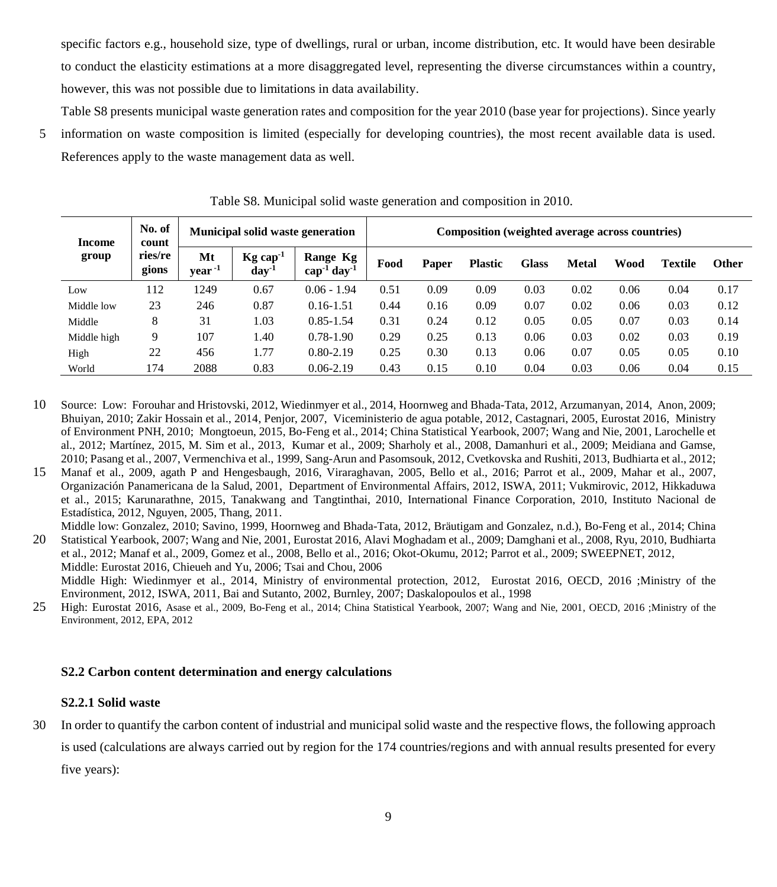specific factors e.g., household size, type of dwellings, rural or urban, income distribution, etc. It would have been desirable to conduct the elasticity estimations at a more disaggregated level, representing the diverse circumstances within a country, however, this was not possible due to limitations in data availability.

[Table S8](#page-9-0) presents municipal waste generation rates and composition for the year 2010 (base year for projections). Since yearly

5 information on waste composition is limited (especially for developing countries), the most recent available data is used. References apply to the waste management data as well.

<span id="page-9-0"></span>

| Income      | No. of<br>count  |                          | <b>Municipal solid waste generation</b> |                                          |      | Composition (weighted average across countries) |                |              |              |      |                |              |  |
|-------------|------------------|--------------------------|-----------------------------------------|------------------------------------------|------|-------------------------------------------------|----------------|--------------|--------------|------|----------------|--------------|--|
| group       | ries/re<br>gions | Mt<br>year <sup>-1</sup> | $Kg \cap a p^{-1}$<br>$day^{-1}$        | Range Kg<br>$cap^{-1}$ day <sup>-1</sup> | Food | Paper                                           | <b>Plastic</b> | <b>Glass</b> | <b>Metal</b> | Wood | <b>Textile</b> | <b>Other</b> |  |
| Low         | 112              | 1249                     | 0.67                                    | $0.06 - 1.94$                            | 0.51 | 0.09                                            | 0.09           | 0.03         | 0.02         | 0.06 | 0.04           | 0.17         |  |
| Middle low  | 23               | 246                      | 0.87                                    | $0.16 - 1.51$                            | 0.44 | 0.16                                            | 0.09           | 0.07         | 0.02         | 0.06 | 0.03           | 0.12         |  |
| Middle      | 8                | 31                       | 1.03                                    | $0.85 - 1.54$                            | 0.31 | 0.24                                            | 0.12           | 0.05         | 0.05         | 0.07 | 0.03           | 0.14         |  |
| Middle high | 9                | 107                      | 1.40                                    | $0.78 - 1.90$                            | 0.29 | 0.25                                            | 0.13           | 0.06         | 0.03         | 0.02 | 0.03           | 0.19         |  |
| High        | 22               | 456                      | 1.77                                    | $0.80 - 2.19$                            | 0.25 | 0.30                                            | 0.13           | 0.06         | 0.07         | 0.05 | 0.05           | 0.10         |  |
| World       | 174              | 2088                     | 0.83                                    | $0.06 - 2.19$                            | 0.43 | 0.15                                            | 0.10           | 0.04         | 0.03         | 0.06 | 0.04           | 0.15         |  |

Table S8. Municipal solid waste generation and composition in 2010.

- 10 Source: Low: Forouhar and Hristovski, 2012, Wiedinmyer et al., 2014, Hoornweg and Bhada-Tata, 2012, Arzumanyan, 2014, Anon, 2009; Bhuiyan, 2010; Zakir Hossain et al., 2014, Penjor, 2007, Viceministerio de agua potable, 2012, Castagnari, 2005, Eurostat 2016, Ministry of Environment PNH, 2010; Mongtoeun, 2015, Bo-Feng et al., 2014; China Statistical Yearbook, 2007; Wang and Nie, 2001, Larochelle et al., 2012; Martínez, 2015, M. Sim et al., 2013, Kumar et al., 2009; Sharholy et al., 2008, Damanhuri et al., 2009; Meidiana and Gamse, 2010; Pasang et al., 2007, Vermenchiva et al., 1999, Sang-Arun and Pasomsouk, 2012, Cvetkovska and Rushiti, 2013, Budhiarta et al., 2012;
- 15 Manaf et al., 2009, agath P and Hengesbaugh, 2016, Viraraghavan, 2005, Bello et al., 2016; Parrot et al., 2009, Mahar et al., 2007, Organización Panamericana de la Salud, 2001, Department of Environmental Affairs, 2012, ISWA, 2011; Vukmirovic, 2012, Hikkaduwa et al., 2015; Karunarathne, 2015, Tanakwang and Tangtinthai, 2010, International Finance Corporation, 2010, Instituto Nacional de Estadística, 2012, Nguyen, 2005, Thang, 2011.

Middle low: Gonzalez, 2010; Savino, 1999, Hoornweg and Bhada-Tata, 2012, Bräutigam and Gonzalez, n.d.), Bo-Feng et al., 2014; China 20 Statistical Yearbook, 2007; Wang and Nie, 2001, Eurostat 2016, Alavi Moghadam et al., 2009; Damghani et al., 2008, Ryu, 2010, Budhiarta et al., 2012; Manaf et al., 2009, Gomez et al., 2008, Bello et al., 2016; Okot-Okumu, 2012; Parrot et al., 2009; SWEEPNET, 2012,

Middle: Eurostat 2016, Chieueh and Yu, 2006; Tsai and Chou, 2006 Middle High: Wiedinmyer et al., 2014, Ministry of environmental protection, 2012, Eurostat 2016, OECD, 2016 ;Ministry of the Environment, 2012, ISWA, 2011, Bai and Sutanto, 2002, Burnley, 2007; Daskalopoulos et al., 1998

25 High: Eurostat 2016, Asase et al., 2009, Bo-Feng et al., 2014; China Statistical Yearbook, 2007; Wang and Nie, 2001, OECD, 2016 ;Ministry of the Environment, 2012, EPA, 2012

#### **S2.2 Carbon content determination and energy calculations**

#### **S2.2.1 Solid waste**

30 In order to quantify the carbon content of industrial and municipal solid waste and the respective flows, the following approach is used (calculations are always carried out by region for the 174 countries/regions and with annual results presented for every

five years):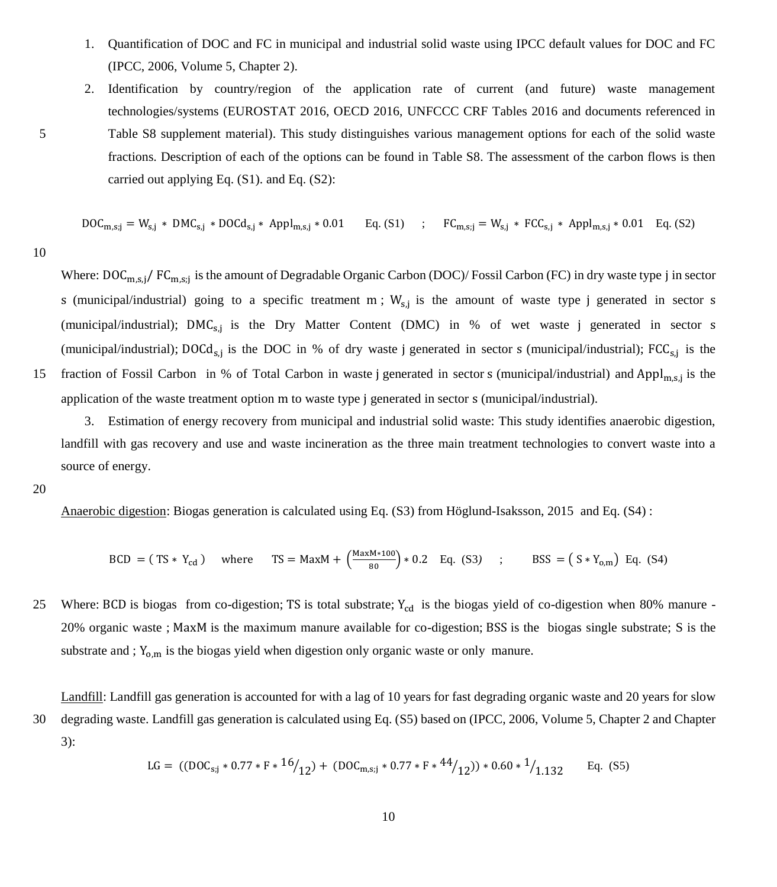- 1. Quantification of DOC and FC in municipal and industrial solid waste using IPCC default values for DOC and FC (IPCC, 2006, Volume 5, Chapter 2).
- 2. Identification by country/region of the application rate of current (and future) waste management technologies/systems (EUROSTAT 2016, OECD 2016, UNFCCC CRF Tables 2016 and documents referenced in 5 Table S8 supplement material). This study distinguishes various management options for each of the solid waste fractions. Description of each of the options can be found in Table S8. The assessment of the carbon flows is then carried out applying Eq. (S1). and Eq. (S2):

$$
DOC_{m,s;j} = W_{s,j} * DMC_{s,j} * DOCd_{s,j} * Appl_{m,s,j} * 0.01 \qquad Eq. (S1) \qquad ; \qquad FC_{m,s;j} = W_{s,j} * FCC_{s,j} * Appl_{m,s,j} * 0.01 \qquad Eq. (S2)
$$

10

Where:  $\textrm{DOC}_{\textrm{m},\textrm{s},j}/\,\textrm{FC}_{\textrm{m},\textrm{s},j}$  is the amount of Degradable Organic Carbon (DOC)/ Fossil Carbon (FC) in dry waste type j in sector s (municipal/industrial) going to a specific treatment  $m$ ;  $W_{s,j}$  is the amount of waste type j generated in sector s (municipal/industrial); DMC<sub>s,j</sub> is the Dry Matter Content (DMC) in % of wet waste j generated in sector s (municipal/industrial); DOCd<sub>s,j</sub> is the DOC in % of dry waste j generated in sector s (municipal/industrial);  $FCC_{s,j}$  is the 15 fraction of Fossil Carbon in % of Total Carbon in waste j generated in sector s (municipal/industrial) and Appl<sub>m,s,j</sub> is the application of the waste treatment option m to waste type j generated in sector s (municipal/industrial).

3. Estimation of energy recovery from municipal and industrial solid waste: This study identifies anaerobic digestion, landfill with gas recovery and use and waste incineration as the three main treatment technologies to convert waste into a source of energy.

20

Anaerobic digestion: Biogas generation is calculated using Eq. (S3) from Höglund-Isaksson, 2015 and Eq. (S4) :

$$
BCD = (TS * Y_{cd}) \quad \text{where} \quad TS = MaxM + \left(\frac{MaxM * 100}{80}\right) * 0.2 \quad Eq. (S3) \quad ; \qquad BSS = (S * Y_{o,m}) \quad Eq. (S4)
$$

25 Where: BCD is biogas from co-digestion; TS is total substrate;  $Y_{cd}$  is the biogas yield of co-digestion when 80% manure -20% organic waste ; MaxM is the maximum manure available for co-digestion; BSS is the biogas single substrate; S is the substrate and ;  $Y_{o,m}$  is the biogas yield when digestion only organic waste or only manure.

Landfill: Landfill gas generation is accounted for with a lag of 10 years for fast degrading organic waste and 20 years for slow

30 degrading waste. Landfill gas generation is calculated using Eq. (S5) based on (IPCC, 2006, Volume 5, Chapter 2 and Chapter 3):

$$
LG = ((DOC_{s,j} * 0.77 * F * 16/12) + (DOC_{m,s,j} * 0.77 * F * 44/12))*0.60 * 1/1.132 \t Eq. (S5)
$$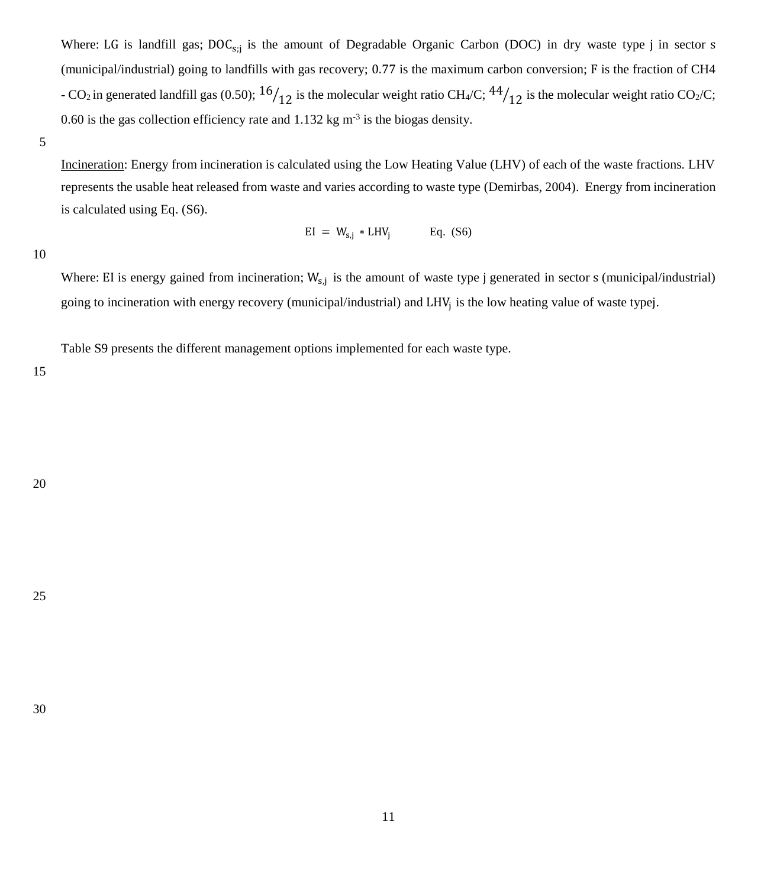Where: LG is landfill gas;  $DOC_{s,j}$  is the amount of Degradable Organic Carbon (DOC) in dry waste type j in sector s (municipal/industrial) going to landfills with gas recovery; 0.77 is the maximum carbon conversion; F is the fraction of CH4 - CO<sub>2</sub> in generated landfill gas (0.50);  $16/12$  is the molecular weight ratio CH<sub>4</sub>/C;  $44/12$  is the molecular weight ratio CO<sub>2</sub>/C; 0.60 is the gas collection efficiency rate and  $1.132$  kg m<sup>-3</sup> is the biogas density.

5

Incineration: Energy from incineration is calculated using the Low Heating Value (LHV) of each of the waste fractions. LHV represents the usable heat released from waste and varies according to waste type (Demirbas, 2004). Energy from incineration is calculated using Eq. (S6).

$$
EI = W_{s,j} * LHV_j
$$
 Eq. (S6)

10

Where: EI is energy gained from incineration;  $W_{s,j}$  is the amount of waste type j generated in sector s (municipal/industrial) going to incineration with energy recovery (municipal/industrial) and LHV<sup>j</sup> is the low heating value of waste typej.

[Table S9](#page-12-0) presents the different management options implemented for each waste type.

15

25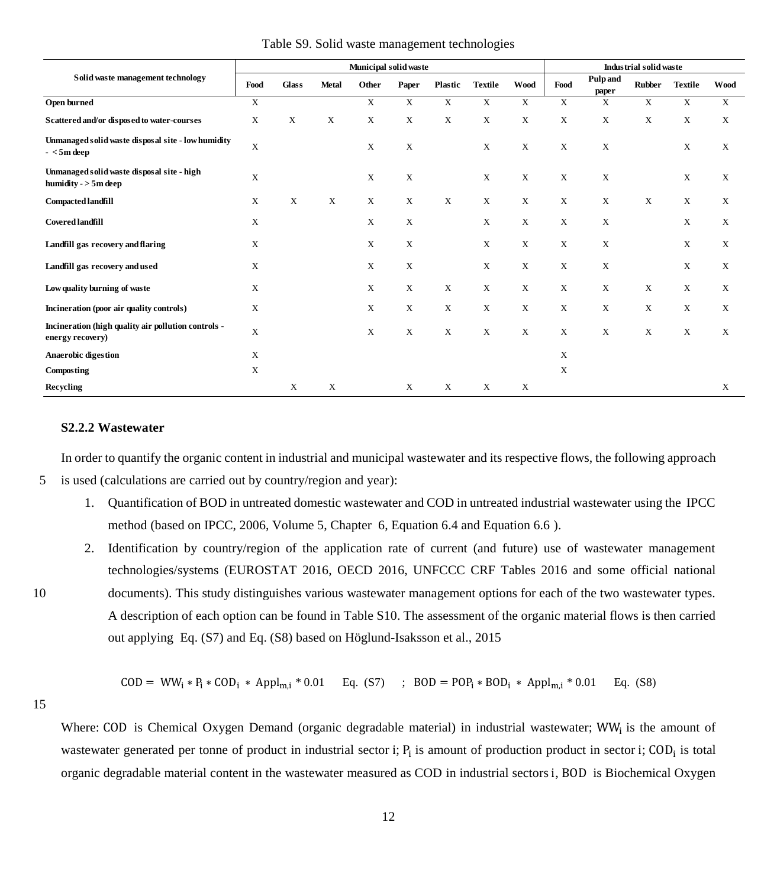<span id="page-12-0"></span>

|                                                                         | Municipal solid waste |              |              |             |             |             |                |             | Industrial solid waste |                          |               |                |      |
|-------------------------------------------------------------------------|-----------------------|--------------|--------------|-------------|-------------|-------------|----------------|-------------|------------------------|--------------------------|---------------|----------------|------|
| Solid waste management technology                                       | Food                  | <b>Glass</b> | <b>Metal</b> | Other       | Paper       | Plastic     | <b>Textile</b> | <b>Wood</b> | Food                   | <b>Pulp</b> and<br>paper | <b>Rubber</b> | <b>Textile</b> | Wood |
| Open burned                                                             | X                     |              |              | X           | X           | $\mathbf X$ | X              | $\mathbf X$ | $\mathbf X$            | $\mathbf X$              | $\mathbf X$   | $\mathbf X$    | X    |
| Scattered and/or disposed to water-courses                              | X                     | X            | X            | X           | X           | X           | X              | X           | X                      | $\mathbf X$              | X             | X              | X    |
| Unmanaged solid waste disposal site - low humidity<br>$-<$ 5m deep      | X                     |              |              | $\mathbf X$ | X           |             | $\mathbf X$    | $\mathbf X$ | $\mathbf X$            | $\mathbf X$              |               | X              | X    |
| Unmanaged solid waste disposal site - high<br>humidity $-$ > 5m deep    | X                     |              |              | X           | X           |             | X              | $\mathbf X$ | X                      | $\mathbf X$              |               | X              | Χ    |
| Compacted landfill                                                      | X                     | X            | $\mathbf X$  | $\mathbf X$ | X           | $\mathbf X$ | X              | $\mathbf X$ | $\mathbf X$            | $\mathbf X$              | $\mathbf X$   | X              | X    |
| <b>Covered landfill</b>                                                 | $\mathbf X$           |              |              | X           | X           |             | $\mathbf X$    | $\mathbf X$ | X                      | $\mathbf X$              |               | X              | X    |
| Landfill gas recovery and flaring                                       | X                     |              |              | X           | X           |             | $\mathbf X$    | X           | X                      | $\mathbf X$              |               | X              | X    |
| Landfill gas recovery and used                                          | X                     |              |              | X           | X           |             | $\mathbf X$    | $\mathbf X$ | $\mathbf X$            | $\mathbf X$              |               | X              | X    |
| Low quality burning of waste                                            | X                     |              |              | $\mathbf X$ | $\mathbf X$ | $\mathbf X$ | $\mathbf X$    | X           | X                      | $\mathbf X$              | $\mathbf X$   | X              | X    |
| Incineration (poor air quality controls)                                | X                     |              |              | X           | X           | X           | X              | X           | X                      | $\mathbf X$              | X             | X              | X    |
| Incineration (high quality air pollution controls -<br>energy recovery) | $\mathbf X$           |              |              | X           | X           | $\mathbf X$ | $\mathbf X$    | X           | $\mathbf X$            | $\mathbf X$              | $\mathbf X$   | $\mathbf X$    | Χ    |
| <b>Anaerobic digestion</b>                                              | $\mathbf X$           |              |              |             |             |             |                |             | $\mathbf X$            |                          |               |                |      |
| Composting                                                              | $\mathbf X$           |              |              |             |             |             |                |             | X                      |                          |               |                |      |
| Recycling                                                               |                       | X            | $\mathbf X$  |             | X           | X           | X              | X           |                        |                          |               |                | X    |

#### Table S9. Solid waste management technologies

## **S2.2.2 Wastewater**

In order to quantify the organic content in industrial and municipal wastewater and its respective flows, the following approach

- 5 is used (calculations are carried out by country/region and year):
	- 1. Quantification of BOD in untreated domestic wastewater and COD in untreated industrial wastewater using the IPCC method (based on IPCC, 2006, Volume 5, Chapter 6, Equation 6.4 and Equation 6.6 ).
- 2. Identification by country/region of the application rate of current (and future) use of wastewater management technologies/systems (EUROSTAT 2016, OECD 2016, UNFCCC CRF Tables 2016 and some official national 10 documents). This study distinguishes various wastewater management options for each of the two wastewater types. A description of each option can be found in Table S10. The assessment of the organic material flows is then carried

$$
COD = WW_1 * P_1 * COD_1 * Appl_{m,i} * 0.01 \qquad Eq. (S7) \qquad ; \quad BOD = POP_1 * BOD_1 * Appl_{m,i} * 0.01 \qquad Eq. (S8)
$$

out applying Eq. (S7) and Eq. (S8) based on Höglund-Isaksson et al., 2015

15

Where: COD is Chemical Oxygen Demand (organic degradable material) in industrial wastewater; WW<sub>i</sub> is the amount of wastewater generated per tonne of product in industrial sector i;  $P_i$  is amount of production product in sector i;  $COD_i$  is total organic degradable material content in the wastewater measured as COD in industrial sectors i, BOD is Biochemical Oxygen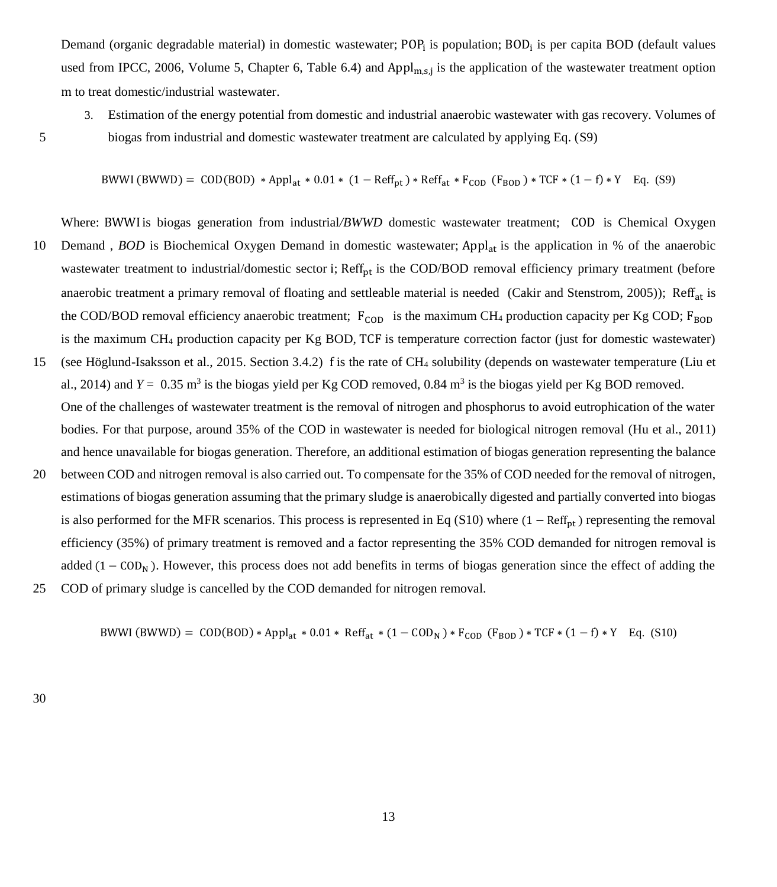Demand (organic degradable material) in domestic wastewater; POP<sub>i</sub> is population; BOD<sub>i</sub> is per capita BOD (default values used from IPCC, 2006, Volume 5, Chapter 6, Table 6.4) and  $Appl_{m,s,j}$  is the application of the wastewater treatment option m to treat domestic/industrial wastewater.

3. Estimation of the energy potential from domestic and industrial anaerobic wastewater with gas recovery. Volumes of

5 biogas from industrial and domestic wastewater treatment are calculated by applying Eq. (S9)

BWWI (BWWD) = COD(BOD) ∗ Applat ∗ 0.01 ∗ (1 − Reffpt ) ∗ Reffat ∗ FCOD (FBOD ) ∗ TCF ∗ (1 − f) ∗ Y Eq. (S9)

Where: BWWI is biogas generation from industrial/*BWWD* domestic wastewater treatment; COD is Chemical Oxygen 10 Demand , *BOD* is Biochemical Oxygen Demand in domestic wastewater; Appl<sub>at</sub> is the application in % of the anaerobic wastewater treatment to industrial/domestic sector i; Reff $_{\text{nt}}$  is the COD/BOD removal efficiency primary treatment (before anaerobic treatment a primary removal of floating and settleable material is needed (Cakir and Stenstrom, 2005)); Reff<sub>at</sub> is the COD/BOD removal efficiency anaerobic treatment;  $F_{\text{COD}}$  is the maximum CH<sub>4</sub> production capacity per Kg COD;  $F_{\text{BOD}}$ is the maximum CH<sup>4</sup> production capacity per Kg BOD, TCF is temperature correction factor (just for domestic wastewater) 15 (see Höglund-Isaksson et al., 2015. Section 3.4.2) f is the rate of CH<sup>4</sup> solubility (depends on wastewater temperature (Liu et

- al., 2014) and  $Y = 0.35$  m<sup>3</sup> is the biogas yield per Kg COD removed, 0.84 m<sup>3</sup> is the biogas yield per Kg BOD removed. One of the challenges of wastewater treatment is the removal of nitrogen and phosphorus to avoid eutrophication of the water bodies. For that purpose, around 35% of the COD in wastewater is needed for biological nitrogen removal (Hu et al., 2011) and hence unavailable for biogas generation. Therefore, an additional estimation of biogas generation representing the balance
- 20 between COD and nitrogen removal is also carried out. To compensate for the 35% of COD needed for the removal of nitrogen, estimations of biogas generation assuming that the primary sludge is anaerobically digested and partially converted into biogas is also performed for the MFR scenarios. This process is represented in Eq (S10) where  $(1 - Ref<sub>pt</sub>)$  representing the removal efficiency (35%) of primary treatment is removed and a factor representing the 35% COD demanded for nitrogen removal is added  $(1 - COD<sub>N</sub>)$ . However, this process does not add benefits in terms of biogas generation since the effect of adding the
- 25 COD of primary sludge is cancelled by the COD demanded for nitrogen removal.

BWWI (BWWD) =  $COD(BOD) * Appl_{at} * 0.01 * Ref_{at} * (1 - COD_N) * F_{COD} (F_{BOD}) * TCF * (1 - f) * Y Eq.$  (S10)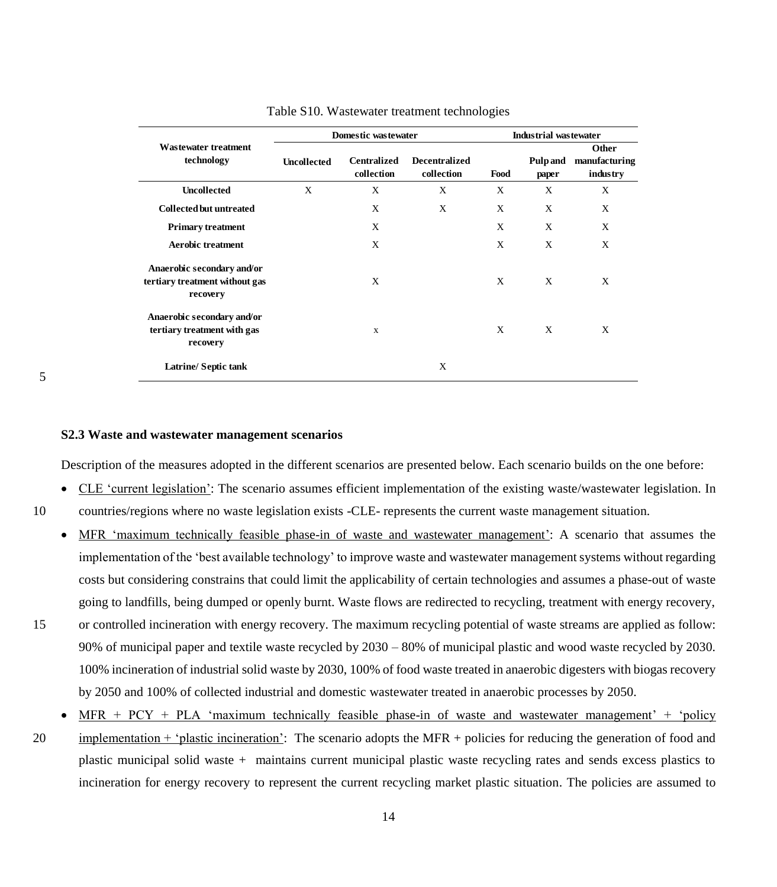|                                                                          |                    | Domestic wastewater              | Industrial was tewater             |                                  |   |                                    |  |
|--------------------------------------------------------------------------|--------------------|----------------------------------|------------------------------------|----------------------------------|---|------------------------------------|--|
| <b>Wastewater treatment</b><br>technology                                | <b>Uncollected</b> | <b>Centralized</b><br>collection | <b>Decentralized</b><br>collection | <b>Pulp and</b><br>Food<br>paper |   | Other<br>manufacturing<br>industry |  |
| <b>Uncollected</b>                                                       | X                  | X                                | X                                  | X                                | X | X                                  |  |
| <b>Collected but untreated</b>                                           |                    | X                                | $\mathbf{x}$                       | X                                | X | X                                  |  |
| <b>Primary treatment</b>                                                 |                    | X                                |                                    | X                                | X | X                                  |  |
| <b>Aerobic treatment</b>                                                 |                    | X                                |                                    | X                                | X | X                                  |  |
| Anaerobic secondary and/or<br>tertiary treatment without gas<br>recovery |                    | X                                |                                    | X                                | X | X                                  |  |
| Anaerobic secondary and/or<br>tertiary treatment with gas<br>recovery    |                    | X                                |                                    | X                                | X | X                                  |  |
| <b>Latrine/Septic tank</b>                                               |                    |                                  | X                                  |                                  |   |                                    |  |

#### Table S10. Wastewater treatment technologies

#### 5

#### **S2.3 Waste and wastewater management scenarios**

Description of the measures adopted in the different scenarios are presented below. Each scenario builds on the one before:

- CLE 'current legislation': The scenario assumes efficient implementation of the existing waste/wastewater legislation. In 10 countries/regions where no waste legislation exists -CLE- represents the current waste management situation.
	- MFR 'maximum technically feasible phase-in of waste and wastewater management': A scenario that assumes the implementation of the 'best available technology' to improve waste and wastewater management systems without regarding costs but considering constrains that could limit the applicability of certain technologies and assumes a phase-out of waste going to landfills, being dumped or openly burnt. Waste flows are redirected to recycling, treatment with energy recovery,
- 

15 or controlled incineration with energy recovery. The maximum recycling potential of waste streams are applied as follow: 90% of municipal paper and textile waste recycled by 2030 – 80% of municipal plastic and wood waste recycled by 2030. 100% incineration of industrial solid waste by 2030, 100% of food waste treated in anaerobic digesters with biogas recovery by 2050 and 100% of collected industrial and domestic wastewater treated in anaerobic processes by 2050.

 MFR + PCY + PLA 'maximum technically feasible phase-in of waste and wastewater management' + 'policy 20 implementation + 'plastic incineration': The scenario adopts the MFR + policies for reducing the generation of food and plastic municipal solid waste + maintains current municipal plastic waste recycling rates and sends excess plastics to incineration for energy recovery to represent the current recycling market plastic situation. The policies are assumed to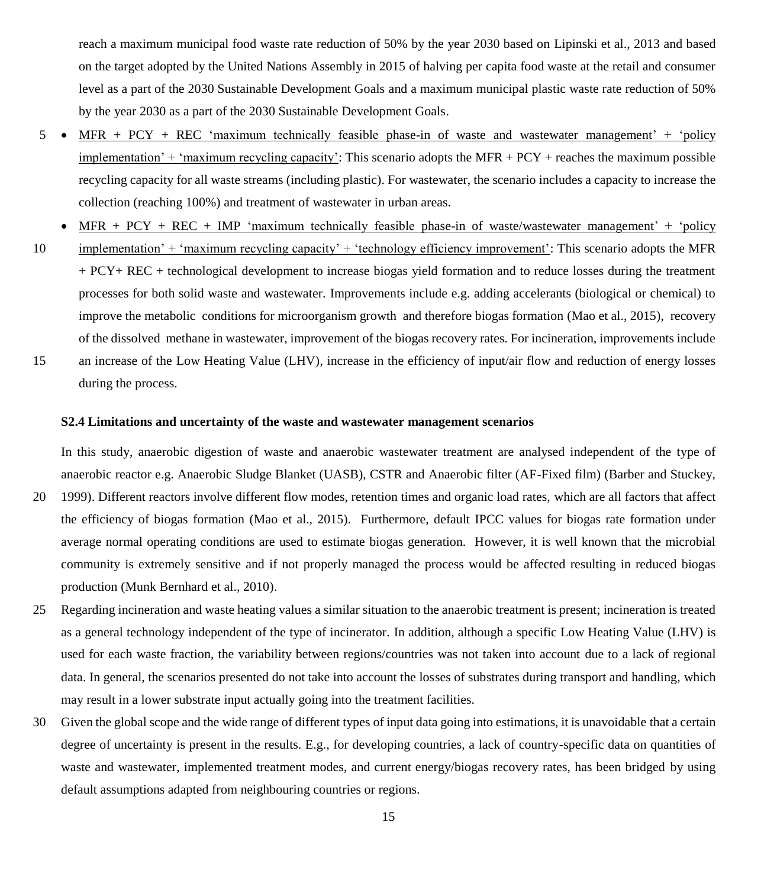reach a maximum municipal food waste rate reduction of 50% by the year 2030 based on Lipinski et al., 2013 and based on the target adopted by the United Nations Assembly in 2015 of halving per capita food waste at the retail and consumer level as a part of the 2030 Sustainable Development Goals and a maximum municipal plastic waste rate reduction of 50% by the year 2030 as a part of the 2030 Sustainable Development Goals.

- 5 MFR + PCY + REC 'maximum technically feasible phase-in of waste and wastewater management' + 'policy implementation' + 'maximum recycling capacity': This scenario adopts the MFR +  $PCY$  + reaches the maximum possible recycling capacity for all waste streams (including plastic). For wastewater, the scenario includes a capacity to increase the collection (reaching 100%) and treatment of wastewater in urban areas.
- $\bullet$  MFR + PCY + REC + IMP 'maximum technically feasible phase-in of waste/wastewater management' + 'policy 10 implementation' + 'maximum recycling capacity' + 'technology efficiency improvement': This scenario adopts the MFR
- + PCY+ REC + technological development to increase biogas yield formation and to reduce losses during the treatment processes for both solid waste and wastewater. Improvements include e.g. adding accelerants (biological or chemical) to improve the metabolic conditions for microorganism growth and therefore biogas formation (Mao et al., 2015), recovery of the dissolved methane in wastewater, improvement of the biogas recovery rates. For incineration, improvements include 15 an increase of the Low Heating Value (LHV), increase in the efficiency of input/air flow and reduction of energy losses

during the process.

#### **S2.4 Limitations and uncertainty of the waste and wastewater management scenarios**

In this study, anaerobic digestion of waste and anaerobic wastewater treatment are analysed independent of the type of anaerobic reactor e.g. Anaerobic Sludge Blanket (UASB), CSTR and Anaerobic filter (AF-Fixed film) (Barber and Stuckey,

- 20 1999). Different reactors involve different flow modes, retention times and organic load rates, which are all factors that affect the efficiency of biogas formation (Mao et al., 2015). Furthermore, default IPCC values for biogas rate formation under average normal operating conditions are used to estimate biogas generation. However, it is well known that the microbial community is extremely sensitive and if not properly managed the process would be affected resulting in reduced biogas production (Munk Bernhard et al., 2010).
- 25 Regarding incineration and waste heating values a similar situation to the anaerobic treatment is present; incineration is treated as a general technology independent of the type of incinerator. In addition, although a specific Low Heating Value (LHV) is used for each waste fraction, the variability between regions/countries was not taken into account due to a lack of regional data. In general, the scenarios presented do not take into account the losses of substrates during transport and handling, which may result in a lower substrate input actually going into the treatment facilities.
- 30 Given the global scope and the wide range of different types of input data going into estimations, it is unavoidable that a certain degree of uncertainty is present in the results. E.g., for developing countries, a lack of country-specific data on quantities of waste and wastewater, implemented treatment modes, and current energy/biogas recovery rates, has been bridged by using default assumptions adapted from neighbouring countries or regions.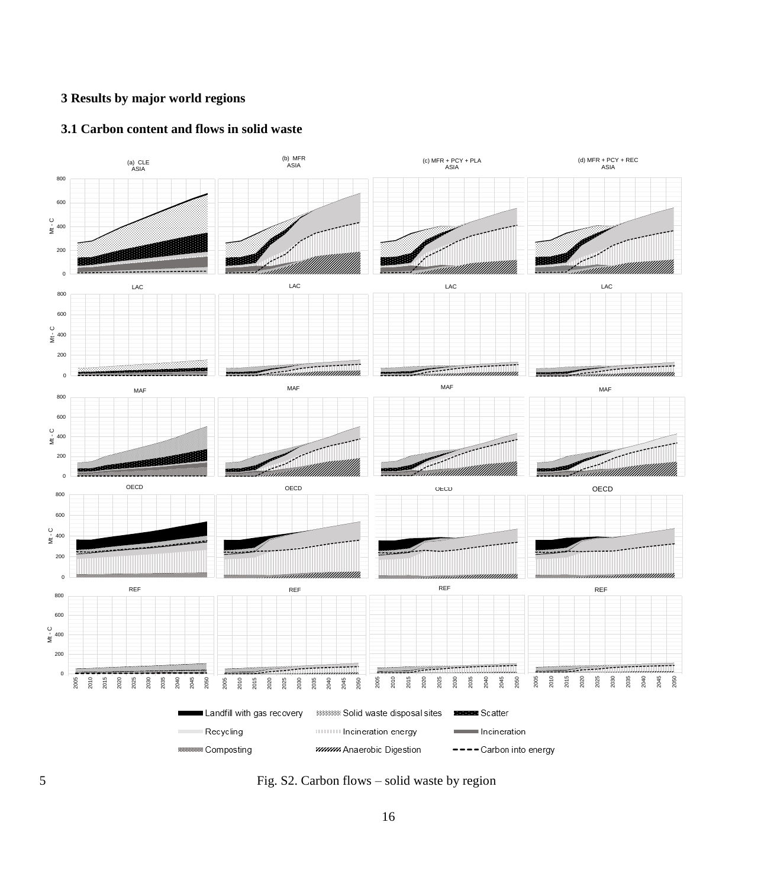# **3 Results by major world regions**

## **3.1 Carbon content and flows in solid waste**



5 Fig. S2. Carbon flows – solid waste by region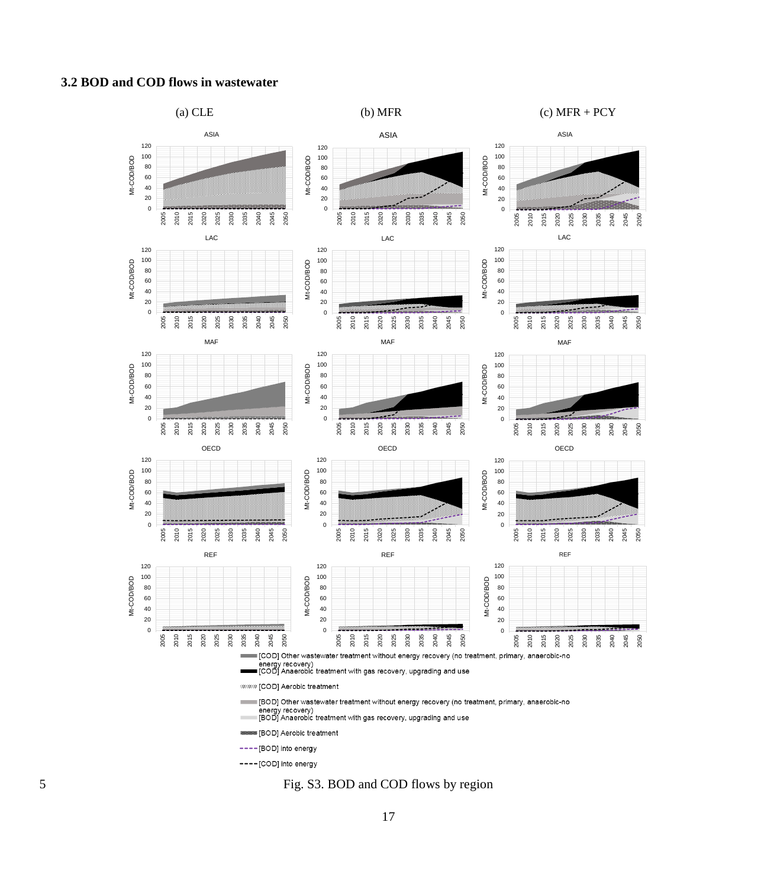## **3.2 BOD and COD flows in wastewater**



Fig. S3. BOD and COD flows by region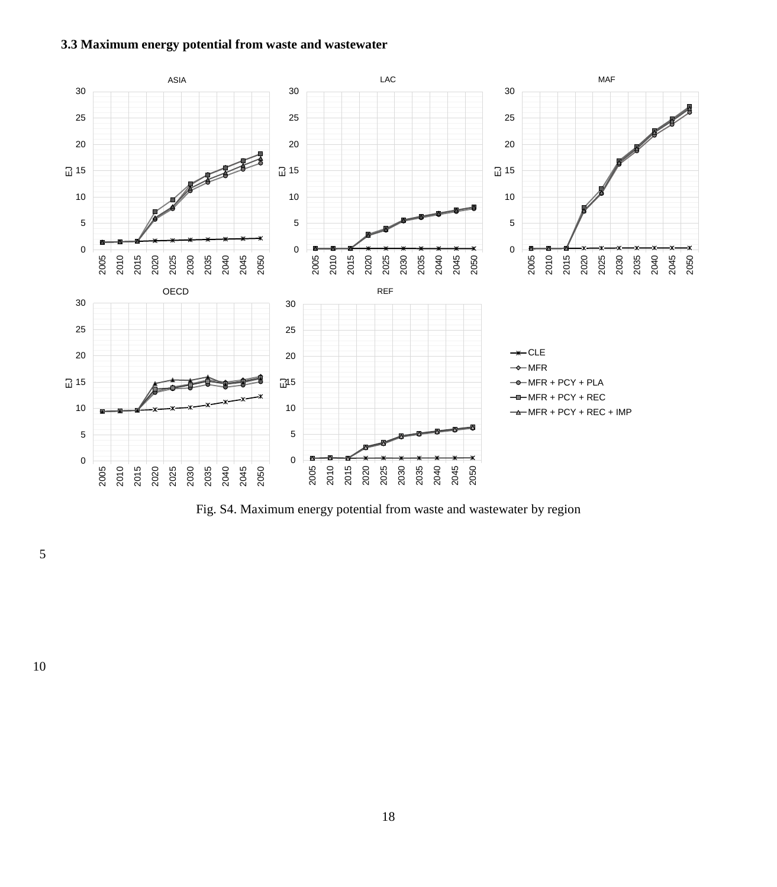# **3.3 Maximum energy potential from waste and wastewater**



Fig. S4. Maximum energy potential from waste and wastewater by region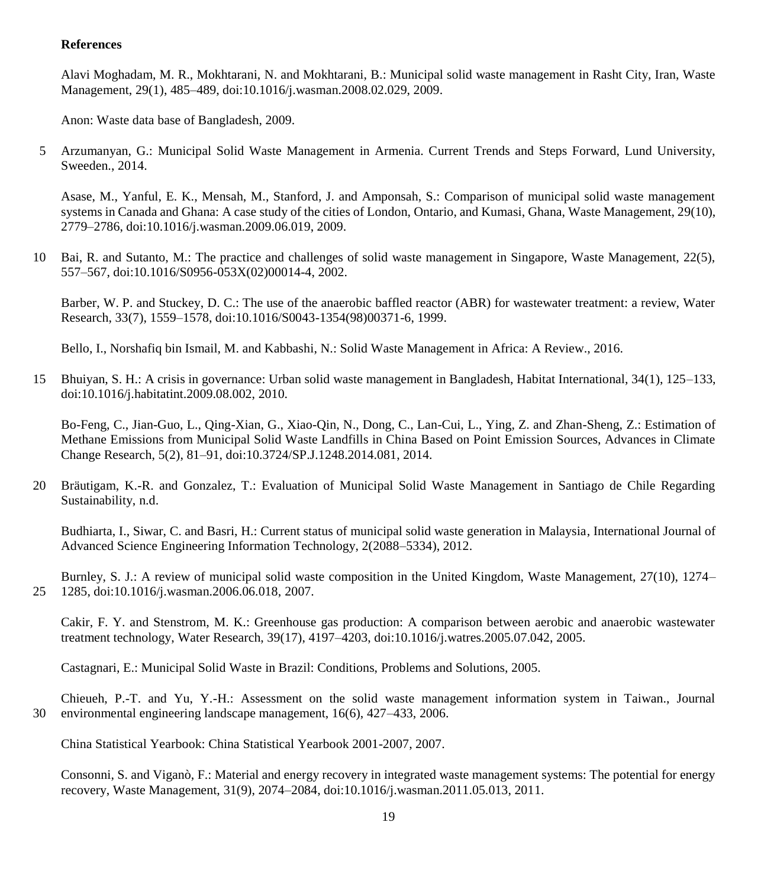## **References**

Alavi Moghadam, M. R., Mokhtarani, N. and Mokhtarani, B.: Municipal solid waste management in Rasht City, Iran, Waste Management, 29(1), 485–489, doi:10.1016/j.wasman.2008.02.029, 2009.

Anon: Waste data base of Bangladesh, 2009.

5 Arzumanyan, G.: Municipal Solid Waste Management in Armenia. Current Trends and Steps Forward, Lund University, Sweeden., 2014.

Asase, M., Yanful, E. K., Mensah, M., Stanford, J. and Amponsah, S.: Comparison of municipal solid waste management systems in Canada and Ghana: A case study of the cities of London, Ontario, and Kumasi, Ghana, Waste Management, 29(10), 2779–2786, doi:10.1016/j.wasman.2009.06.019, 2009.

10 Bai, R. and Sutanto, M.: The practice and challenges of solid waste management in Singapore, Waste Management, 22(5), 557–567, doi:10.1016/S0956-053X(02)00014-4, 2002.

Barber, W. P. and Stuckey, D. C.: The use of the anaerobic baffled reactor (ABR) for wastewater treatment: a review, Water Research, 33(7), 1559–1578, doi:10.1016/S0043-1354(98)00371-6, 1999.

Bello, I., Norshafiq bin Ismail, M. and Kabbashi, N.: Solid Waste Management in Africa: A Review., 2016.

15 Bhuiyan, S. H.: A crisis in governance: Urban solid waste management in Bangladesh, Habitat International, 34(1), 125–133, doi:10.1016/j.habitatint.2009.08.002, 2010.

Bo-Feng, C., Jian-Guo, L., Qing-Xian, G., Xiao-Qin, N., Dong, C., Lan-Cui, L., Ying, Z. and Zhan-Sheng, Z.: Estimation of Methane Emissions from Municipal Solid Waste Landfills in China Based on Point Emission Sources, Advances in Climate Change Research, 5(2), 81–91, doi:10.3724/SP.J.1248.2014.081, 2014.

20 Bräutigam, K.-R. and Gonzalez, T.: Evaluation of Municipal Solid Waste Management in Santiago de Chile Regarding Sustainability, n.d.

Budhiarta, I., Siwar, C. and Basri, H.: Current status of municipal solid waste generation in Malaysia, International Journal of Advanced Science Engineering Information Technology, 2(2088–5334), 2012.

Burnley, S. J.: A review of municipal solid waste composition in the United Kingdom, Waste Management, 27(10), 1274– 25 1285, doi:10.1016/j.wasman.2006.06.018, 2007.

Cakir, F. Y. and Stenstrom, M. K.: Greenhouse gas production: A comparison between aerobic and anaerobic wastewater treatment technology, Water Research, 39(17), 4197–4203, doi:10.1016/j.watres.2005.07.042, 2005.

Castagnari, E.: Municipal Solid Waste in Brazil: Conditions, Problems and Solutions, 2005.

Chieueh, P.-T. and Yu, Y.-H.: Assessment on the solid waste management information system in Taiwan., Journal 30 environmental engineering landscape management, 16(6), 427–433, 2006.

China Statistical Yearbook: China Statistical Yearbook 2001-2007, 2007.

Consonni, S. and Viganò, F.: Material and energy recovery in integrated waste management systems: The potential for energy recovery, Waste Management, 31(9), 2074–2084, doi:10.1016/j.wasman.2011.05.013, 2011.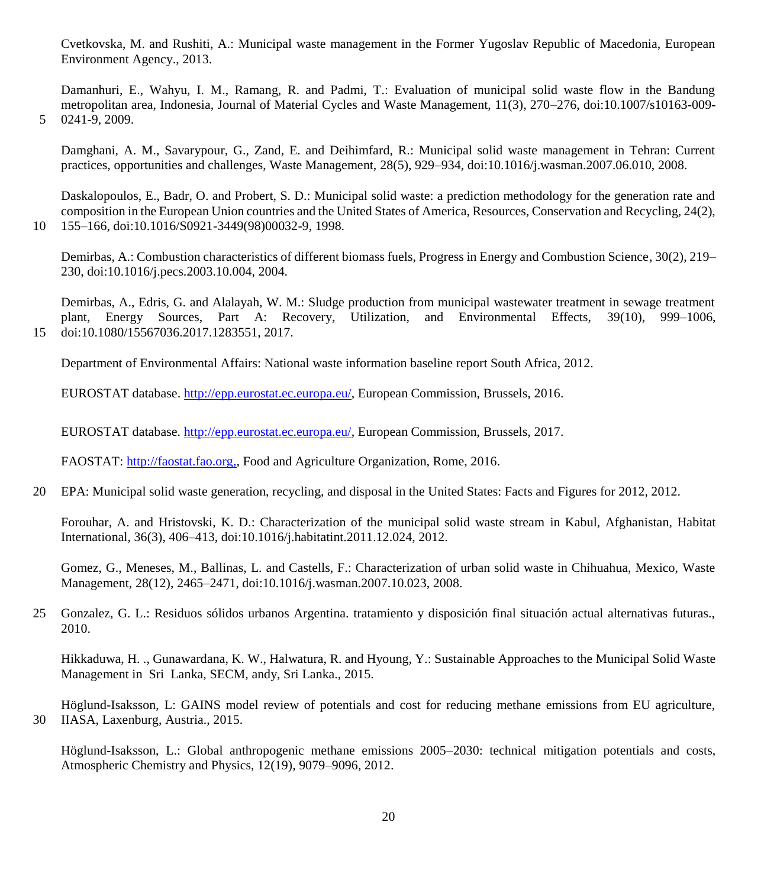Cvetkovska, M. and Rushiti, A.: Municipal waste management in the Former Yugoslav Republic of Macedonia, European Environment Agency., 2013.

Damanhuri, E., Wahyu, I. M., Ramang, R. and Padmi, T.: Evaluation of municipal solid waste flow in the Bandung metropolitan area, Indonesia, Journal of Material Cycles and Waste Management, 11(3), 270–276, doi:10.1007/s10163-009- 5 0241-9, 2009.

Damghani, A. M., Savarypour, G., Zand, E. and Deihimfard, R.: Municipal solid waste management in Tehran: Current practices, opportunities and challenges, Waste Management, 28(5), 929–934, doi:10.1016/j.wasman.2007.06.010, 2008.

Daskalopoulos, E., Badr, O. and Probert, S. D.: Municipal solid waste: a prediction methodology for the generation rate and composition in the European Union countries and the United States of America, Resources, Conservation and Recycling, 24(2), 10 155–166, doi:10.1016/S0921-3449(98)00032-9, 1998.

Demirbas, A.: Combustion characteristics of different biomass fuels, Progress in Energy and Combustion Science, 30(2), 219– 230, doi:10.1016/j.pecs.2003.10.004, 2004.

Demirbas, A., Edris, G. and Alalayah, W. M.: Sludge production from municipal wastewater treatment in sewage treatment plant, Energy Sources, Part A: Recovery, Utilization, and Environmental Effects, 39(10), 999–1006, 15 doi:10.1080/15567036.2017.1283551, 2017.

Department of Environmental Affairs: National waste information baseline report South Africa, 2012.

EUROSTAT database. [http://epp.eurostat.ec.europa.eu/,](http://epp.eurostat.ec.europa.eu/) European Commission, Brussels, 2016.

EUROSTAT database. [http://epp.eurostat.ec.europa.eu/,](http://epp.eurostat.ec.europa.eu/) European Commission, Brussels, 2017.

FAOSTAT: [http://faostat.fao.org,](http://faostat.fao.org/), Food and Agriculture Organization, Rome, 2016.

20 EPA: Municipal solid waste generation, recycling, and disposal in the United States: Facts and Figures for 2012, 2012.

Forouhar, A. and Hristovski, K. D.: Characterization of the municipal solid waste stream in Kabul, Afghanistan, Habitat International, 36(3), 406–413, doi:10.1016/j.habitatint.2011.12.024, 2012.

Gomez, G., Meneses, M., Ballinas, L. and Castells, F.: Characterization of urban solid waste in Chihuahua, Mexico, Waste Management, 28(12), 2465–2471, doi:10.1016/j.wasman.2007.10.023, 2008.

25 Gonzalez, G. L.: Residuos sólidos urbanos Argentina. tratamiento y disposición final situación actual alternativas futuras., 2010.

Hikkaduwa, H. ., Gunawardana, K. W., Halwatura, R. and Hyoung, Y.: Sustainable Approaches to the Municipal Solid Waste Management in Sri Lanka, SECM, andy, Sri Lanka., 2015.

Höglund-Isaksson, L: GAINS model review of potentials and cost for reducing methane emissions from EU agriculture, 30 IIASA, Laxenburg, Austria., 2015.

Höglund-Isaksson, L.: Global anthropogenic methane emissions 2005–2030: technical mitigation potentials and costs, Atmospheric Chemistry and Physics, 12(19), 9079–9096, 2012.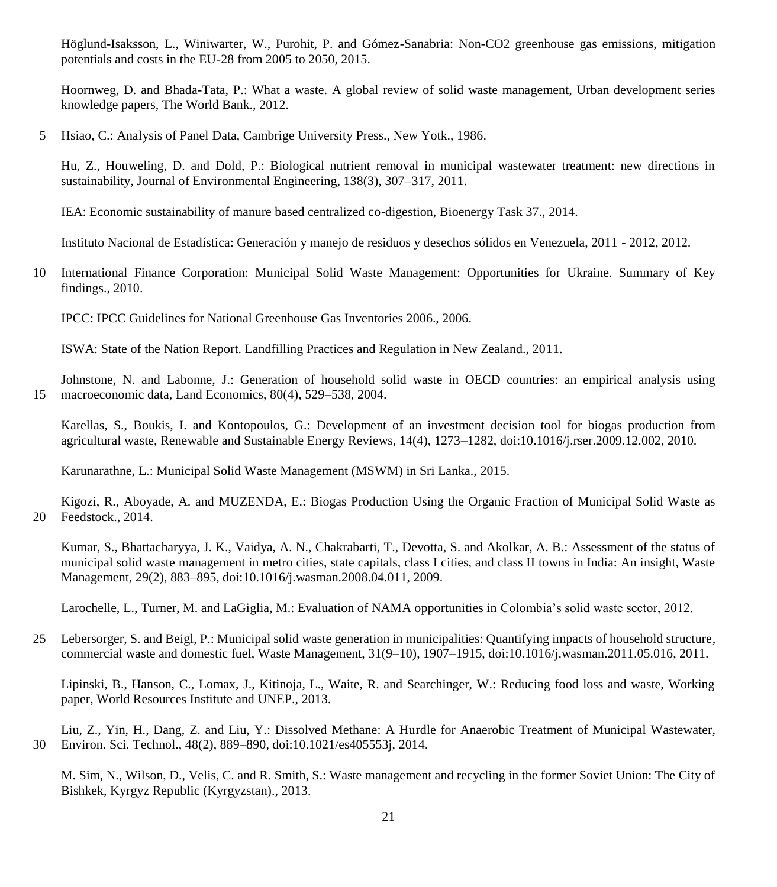Höglund-Isaksson, L., Winiwarter, W., Purohit, P. and Gómez-Sanabria: Non-CO2 greenhouse gas emissions, mitigation potentials and costs in the EU-28 from 2005 to 2050, 2015.

Hoornweg, D. and Bhada-Tata, P.: What a waste. A global review of solid waste management, Urban development series knowledge papers, The World Bank., 2012.

5 Hsiao, C.: Analysis of Panel Data, Cambrige University Press., New Yotk., 1986.

Hu, Z., Houweling, D. and Dold, P.: Biological nutrient removal in municipal wastewater treatment: new directions in sustainability, Journal of Environmental Engineering, 138(3), 307–317, 2011.

IEA: Economic sustainability of manure based centralized co-digestion, Bioenergy Task 37., 2014.

Instituto Nacional de Estadística: Generación y manejo de residuos y desechos sólidos en Venezuela, 2011 - 2012, 2012.

10 International Finance Corporation: Municipal Solid Waste Management: Opportunities for Ukraine. Summary of Key findings., 2010.

IPCC: IPCC Guidelines for National Greenhouse Gas Inventories 2006., 2006.

ISWA: State of the Nation Report. Landfilling Practices and Regulation in New Zealand., 2011.

Johnstone, N. and Labonne, J.: Generation of household solid waste in OECD countries: an empirical analysis using 15 macroeconomic data, Land Economics, 80(4), 529–538, 2004.

Karellas, S., Boukis, I. and Kontopoulos, G.: Development of an investment decision tool for biogas production from agricultural waste, Renewable and Sustainable Energy Reviews, 14(4), 1273–1282, doi:10.1016/j.rser.2009.12.002, 2010.

Karunarathne, L.: Municipal Solid Waste Management (MSWM) in Sri Lanka., 2015.

Kigozi, R., Aboyade, A. and MUZENDA, E.: Biogas Production Using the Organic Fraction of Municipal Solid Waste as 20 Feedstock., 2014.

Kumar, S., Bhattacharyya, J. K., Vaidya, A. N., Chakrabarti, T., Devotta, S. and Akolkar, A. B.: Assessment of the status of municipal solid waste management in metro cities, state capitals, class I cities, and class II towns in India: An insight, Waste Management, 29(2), 883–895, doi:10.1016/j.wasman.2008.04.011, 2009.

Larochelle, L., Turner, M. and LaGiglia, M.: Evaluation of NAMA opportunities in Colombia's solid waste sector, 2012.

25 Lebersorger, S. and Beigl, P.: Municipal solid waste generation in municipalities: Quantifying impacts of household structure, commercial waste and domestic fuel, Waste Management, 31(9–10), 1907–1915, doi:10.1016/j.wasman.2011.05.016, 2011.

Lipinski, B., Hanson, C., Lomax, J., Kitinoja, L., Waite, R. and Searchinger, W.: Reducing food loss and waste, Working paper, World Resources Institute and UNEP., 2013.

Liu, Z., Yin, H., Dang, Z. and Liu, Y.: Dissolved Methane: A Hurdle for Anaerobic Treatment of Municipal Wastewater, 30 Environ. Sci. Technol., 48(2), 889–890, doi:10.1021/es405553j, 2014.

M. Sim, N., Wilson, D., Velis, C. and R. Smith, S.: Waste management and recycling in the former Soviet Union: The City of Bishkek, Kyrgyz Republic (Kyrgyzstan)., 2013.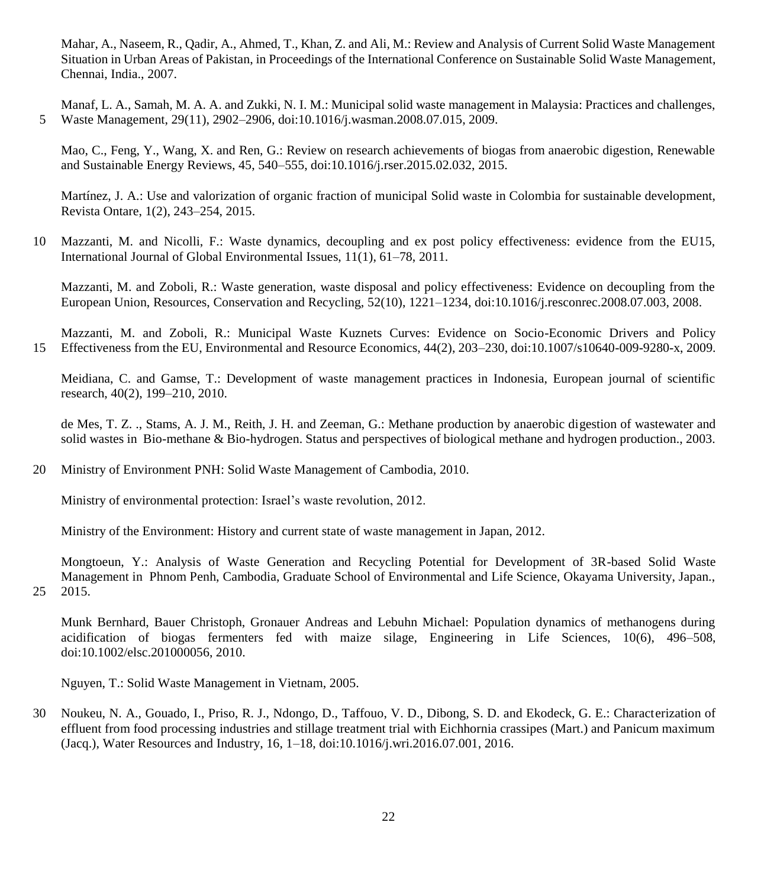Mahar, A., Naseem, R., Qadir, A., Ahmed, T., Khan, Z. and Ali, M.: Review and Analysis of Current Solid Waste Management Situation in Urban Areas of Pakistan, in Proceedings of the International Conference on Sustainable Solid Waste Management, Chennai, India., 2007.

Manaf, L. A., Samah, M. A. A. and Zukki, N. I. M.: Municipal solid waste management in Malaysia: Practices and challenges, 5 Waste Management, 29(11), 2902–2906, doi:10.1016/j.wasman.2008.07.015, 2009.

Mao, C., Feng, Y., Wang, X. and Ren, G.: Review on research achievements of biogas from anaerobic digestion, Renewable and Sustainable Energy Reviews, 45, 540–555, doi:10.1016/j.rser.2015.02.032, 2015.

Martínez, J. A.: Use and valorization of organic fraction of municipal Solid waste in Colombia for sustainable development, Revista Ontare, 1(2), 243–254, 2015.

10 Mazzanti, M. and Nicolli, F.: Waste dynamics, decoupling and ex post policy effectiveness: evidence from the EU15, International Journal of Global Environmental Issues, 11(1), 61–78, 2011.

Mazzanti, M. and Zoboli, R.: Waste generation, waste disposal and policy effectiveness: Evidence on decoupling from the European Union, Resources, Conservation and Recycling, 52(10), 1221–1234, doi:10.1016/j.resconrec.2008.07.003, 2008.

Mazzanti, M. and Zoboli, R.: Municipal Waste Kuznets Curves: Evidence on Socio-Economic Drivers and Policy 15 Effectiveness from the EU, Environmental and Resource Economics, 44(2), 203–230, doi:10.1007/s10640-009-9280-x, 2009.

Meidiana, C. and Gamse, T.: Development of waste management practices in Indonesia, European journal of scientific research, 40(2), 199–210, 2010.

de Mes, T. Z. ., Stams, A. J. M., Reith, J. H. and Zeeman, G.: Methane production by anaerobic digestion of wastewater and solid wastes in Bio-methane & Bio-hydrogen. Status and perspectives of biological methane and hydrogen production., 2003.

## 20 Ministry of Environment PNH: Solid Waste Management of Cambodia, 2010.

Ministry of environmental protection: Israel's waste revolution, 2012.

Ministry of the Environment: History and current state of waste management in Japan, 2012.

Mongtoeun, Y.: Analysis of Waste Generation and Recycling Potential for Development of 3R-based Solid Waste Management in Phnom Penh, Cambodia, Graduate School of Environmental and Life Science, Okayama University, Japan., 25 2015.

Munk Bernhard, Bauer Christoph, Gronauer Andreas and Lebuhn Michael: Population dynamics of methanogens during acidification of biogas fermenters fed with maize silage, Engineering in Life Sciences, 10(6), 496–508, doi:10.1002/elsc.201000056, 2010.

Nguyen, T.: Solid Waste Management in Vietnam, 2005.

30 Noukeu, N. A., Gouado, I., Priso, R. J., Ndongo, D., Taffouo, V. D., Dibong, S. D. and Ekodeck, G. E.: Characterization of effluent from food processing industries and stillage treatment trial with Eichhornia crassipes (Mart.) and Panicum maximum (Jacq.), Water Resources and Industry, 16, 1–18, doi:10.1016/j.wri.2016.07.001, 2016.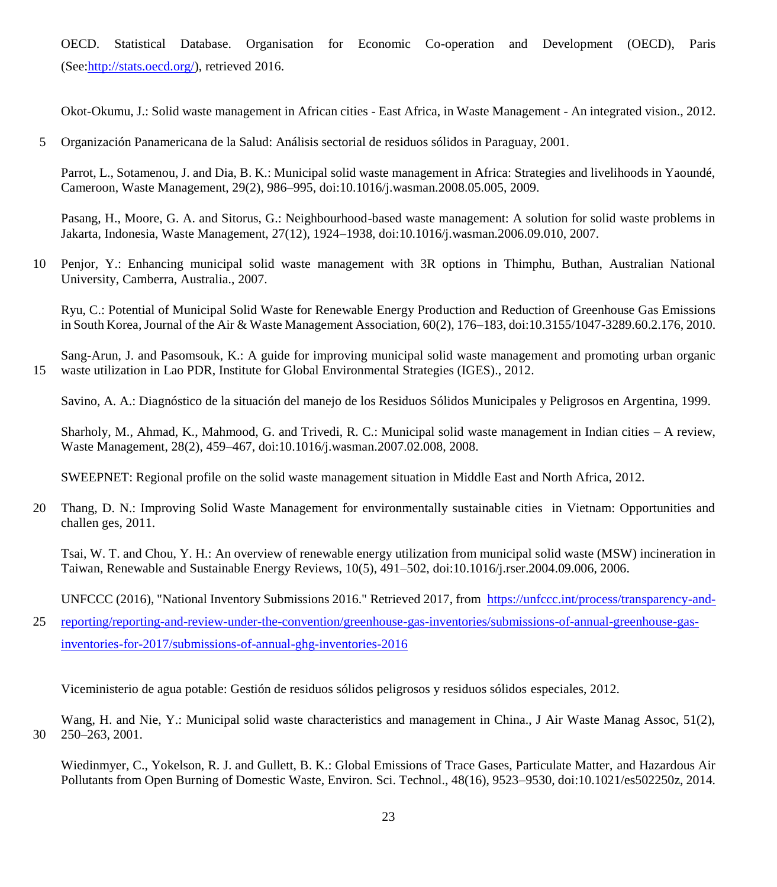OECD. Statistical Database. Organisation for Economic Co-operation and Development (OECD), Paris (See[:http://stats.oecd.org/\)](http://stats.oecd.org/), retrieved 2016.

Okot-Okumu, J.: Solid waste management in African cities - East Africa, in Waste Management - An integrated vision., 2012.

5 Organización Panamericana de la Salud: Análisis sectorial de residuos sólidos in Paraguay, 2001.

Parrot, L., Sotamenou, J. and Dia, B. K.: Municipal solid waste management in Africa: Strategies and livelihoods in Yaoundé, Cameroon, Waste Management, 29(2), 986–995, doi:10.1016/j.wasman.2008.05.005, 2009.

Pasang, H., Moore, G. A. and Sitorus, G.: Neighbourhood-based waste management: A solution for solid waste problems in Jakarta, Indonesia, Waste Management, 27(12), 1924–1938, doi:10.1016/j.wasman.2006.09.010, 2007.

10 Penjor, Y.: Enhancing municipal solid waste management with 3R options in Thimphu, Buthan, Australian National University, Camberra, Australia., 2007.

Ryu, C.: Potential of Municipal Solid Waste for Renewable Energy Production and Reduction of Greenhouse Gas Emissions in South Korea, Journal of the Air & Waste Management Association, 60(2), 176–183, doi:10.3155/1047-3289.60.2.176, 2010.

Sang-Arun, J. and Pasomsouk, K.: A guide for improving municipal solid waste management and promoting urban organic 15 waste utilization in Lao PDR, Institute for Global Environmental Strategies (IGES)., 2012.

Savino, A. A.: Diagnóstico de la situación del manejo de los Residuos Sólidos Municipales y Peligrosos en Argentina, 1999.

Sharholy, M., Ahmad, K., Mahmood, G. and Trivedi, R. C.: Municipal solid waste management in Indian cities – A review, Waste Management, 28(2), 459–467, doi:10.1016/j.wasman.2007.02.008, 2008.

SWEEPNET: Regional profile on the solid waste management situation in Middle East and North Africa, 2012.

20 Thang, D. N.: Improving Solid Waste Management for environmentally sustainable cities in Vietnam: Opportunities and challen ges, 2011.

Tsai, W. T. and Chou, Y. H.: An overview of renewable energy utilization from municipal solid waste (MSW) incineration in Taiwan, Renewable and Sustainable Energy Reviews, 10(5), 491–502, doi:10.1016/j.rser.2004.09.006, 2006.

UNFCCC (2016), "National Inventory Submissions 2016." Retrieved 2017, from [https://unfccc.int/process/transparency-and-](https://unfccc.int/process/transparency-and-reporting/reporting-and-review-under-the-convention/greenhouse-gas-inventories/submissions-of-annual-greenhouse-gas-inventories-for-2017/submissions-of-annual-ghg-inventories-2016)

25 [reporting/reporting-and-review-under-the-convention/greenhouse-gas-inventories/submissions-of-annual-greenhouse-gas](https://unfccc.int/process/transparency-and-reporting/reporting-and-review-under-the-convention/greenhouse-gas-inventories/submissions-of-annual-greenhouse-gas-inventories-for-2017/submissions-of-annual-ghg-inventories-2016)[inventories-for-2017/submissions-of-annual-ghg-inventories-2016](https://unfccc.int/process/transparency-and-reporting/reporting-and-review-under-the-convention/greenhouse-gas-inventories/submissions-of-annual-greenhouse-gas-inventories-for-2017/submissions-of-annual-ghg-inventories-2016)

Viceministerio de agua potable: Gestión de residuos sólidos peligrosos y residuos sólidos especiales, 2012.

Wang, H. and Nie, Y.: Municipal solid waste characteristics and management in China., J Air Waste Manag Assoc, 51(2), 30 250–263, 2001.

Wiedinmyer, C., Yokelson, R. J. and Gullett, B. K.: Global Emissions of Trace Gases, Particulate Matter, and Hazardous Air Pollutants from Open Burning of Domestic Waste, Environ. Sci. Technol., 48(16), 9523–9530, doi:10.1021/es502250z, 2014.